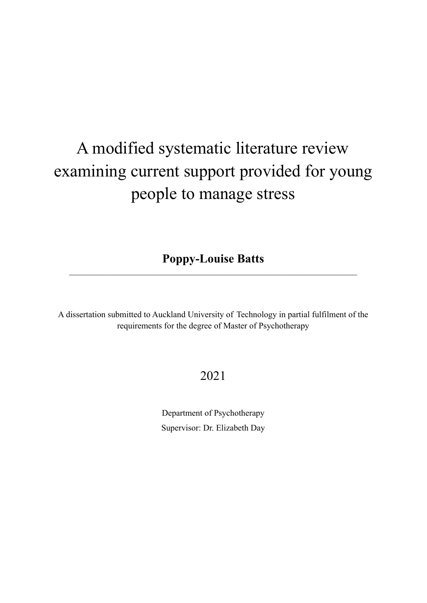# A modified systematic literature review examining current support provided for young people to manage stress

**Poppy-Louise Batts**  $\_$  , and the contribution of the contribution of  $\mathcal{L}_\mathcal{A}$  , and the contribution of  $\mathcal{L}_\mathcal{A}$ 

A dissertation submitted to Auckland University of Technology in partial fulfilment of the requirements for the degree of Master of Psychotherapy

# 2021

Department of Psychotherapy Supervisor: Dr. Elizabeth Day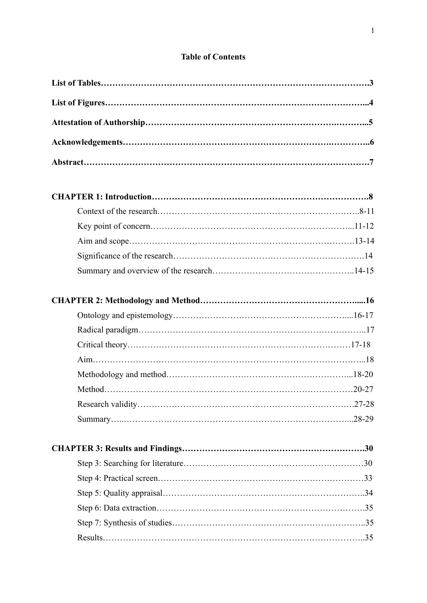# **Table of Contents**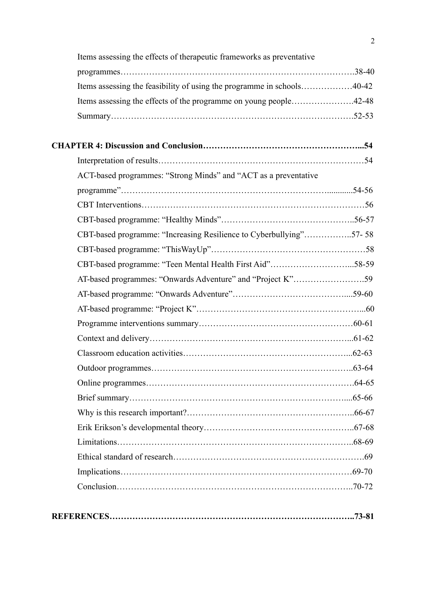| Items assessing the feasibility of using the programme in schools40-42 |  |
|------------------------------------------------------------------------|--|
| Items assessing the effects of the programme on young people42-48      |  |
|                                                                        |  |
|                                                                        |  |
|                                                                        |  |
| ACT-based programmes: "Strong Minds" and "ACT as a preventative        |  |
|                                                                        |  |
|                                                                        |  |
|                                                                        |  |
| CBT-based programme: "Increasing Resilience to Cyberbullying"57-58     |  |
|                                                                        |  |
| CBT-based programme: "Teen Mental Health First Aid"58-59               |  |
| AT-based programmes: "Onwards Adventure" and "Project K"59             |  |
|                                                                        |  |
|                                                                        |  |
|                                                                        |  |
|                                                                        |  |
|                                                                        |  |
|                                                                        |  |
|                                                                        |  |
|                                                                        |  |
|                                                                        |  |
|                                                                        |  |
|                                                                        |  |
|                                                                        |  |
|                                                                        |  |
|                                                                        |  |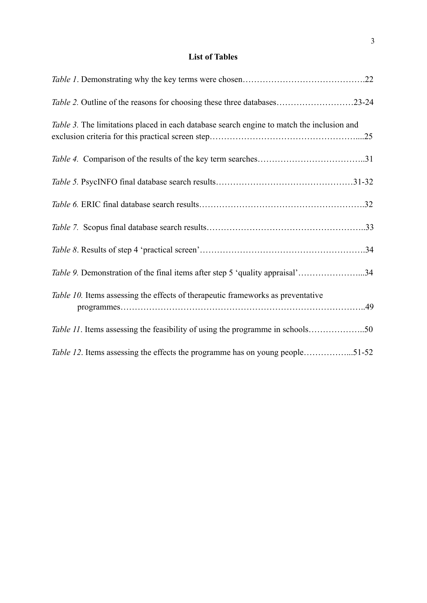# **List of Tables**

| <i>Table 2.</i> Outline of the reasons for choosing these three databases23-24            |  |
|-------------------------------------------------------------------------------------------|--|
| Table 3. The limitations placed in each database search engine to match the inclusion and |  |
|                                                                                           |  |
|                                                                                           |  |
|                                                                                           |  |
|                                                                                           |  |
|                                                                                           |  |
| Table 9. Demonstration of the final items after step 5 'quality appraisal'34              |  |
| Table 10. Items assessing the effects of therapeutic frameworks as preventative           |  |
| Table 11. Items assessing the feasibility of using the programme in schools50             |  |
| Table 12. Items assessing the effects the programme has on young people51-52              |  |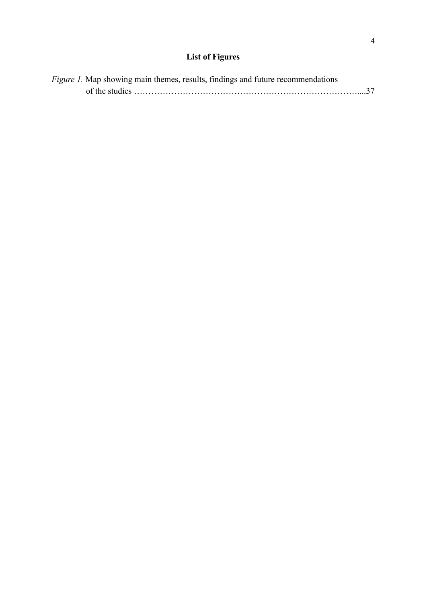# **List of Figures**

| <i>Figure 1.</i> Map showing main themes, results, findings and future recommendations |  |
|----------------------------------------------------------------------------------------|--|
|                                                                                        |  |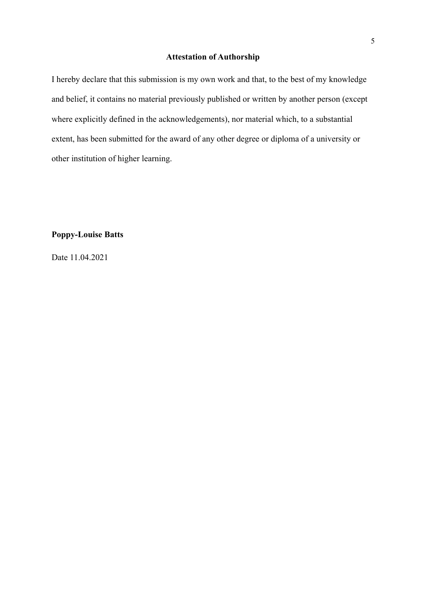### **Attestation of Authorship**

I hereby declare that this submission is my own work and that, to the best of my knowledge and belief, it contains no material previously published or written by another person (except where explicitly defined in the acknowledgements), nor material which, to a substantial extent, has been submitted for the award of any other degree or diploma of a university or other institution of higher learning.

# **Poppy-Louise Batts**

Date 11.04.2021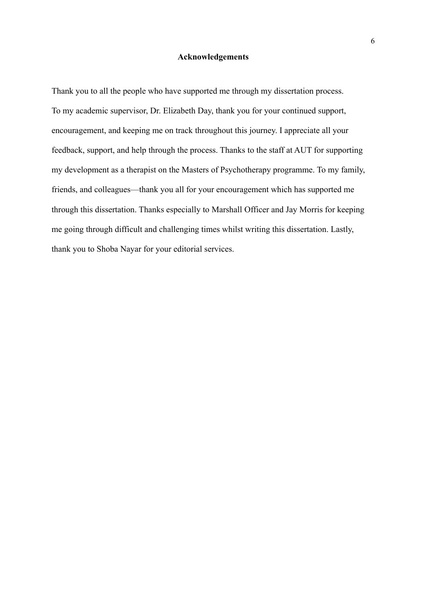#### **Acknowledgements**

Thank you to all the people who have supported me through my dissertation process. To my academic supervisor, Dr. Elizabeth Day, thank you for your continued support, encouragement, and keeping me on track throughout this journey. I appreciate all your feedback, support, and help through the process. Thanks to the staff at AUT for supporting my development as a therapist on the Masters of Psychotherapy programme. To my family, friends, and colleagues—thank you all for your encouragement which has supported me through this dissertation. Thanks especially to Marshall Officer and Jay Morris for keeping me going through difficult and challenging times whilst writing this dissertation. Lastly, thank you to Shoba Nayar for your editorial services.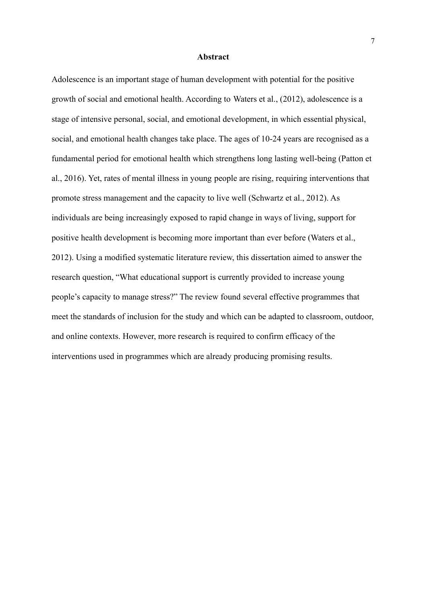#### **Abstract**

Adolescence is an important stage of human development with potential for the positive growth of social and emotional health. According to Waters et al., (2012), adolescence is a stage of intensive personal, social, and emotional development, in which essential physical, social, and emotional health changes take place. The ages of 10-24 years are recognised as a fundamental period for emotional health which strengthens long lasting well-being (Patton et al., 2016). Yet, rates of mental illness in young people are rising, requiring interventions that promote stress management and the capacity to live well (Schwartz et al., 2012). As individuals are being increasingly exposed to rapid change in ways of living, support for positive health development is becoming more important than ever before (Waters et al., 2012). Using a modified systematic literature review, this dissertation aimed to answer the research question, "What educational support is currently provided to increase young people's capacity to manage stress?" The review found several effective programmes that meet the standards of inclusion for the study and which can be adapted to classroom, outdoor, and online contexts. However, more research is required to confirm efficacy of the interventions used in programmes which are already producing promising results.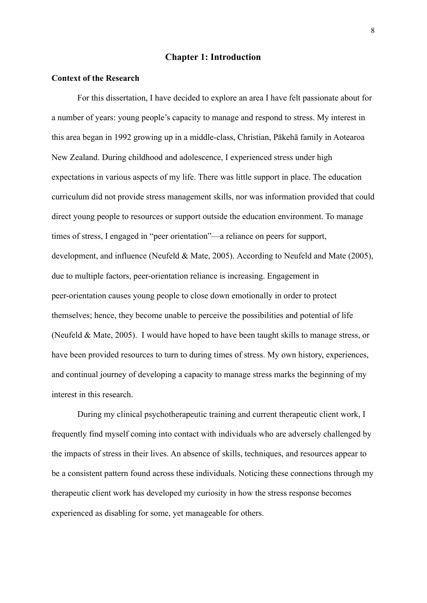#### **Chapter 1: Introduction**

#### **Context of the Research**

For this dissertation, I have decided to explore an area I have felt passionate about for a number of years: young people's capacity to manage and respond to stress. My interest in this area began in 1992 growing up in a middle-class, Christian, Pākehā family in Aotearoa New Zealand. During childhood and adolescence, I experienced stress under high expectations in various aspects of my life. There was little support in place. The education curriculum did not provide stress management skills, nor was information provided that could direct young people to resources or support outside the education environment. To manage times of stress, I engaged in "peer orientation"—a reliance on peers for support, development, and influence (Neufeld & Mate, 2005). According to Neufeld and Mate (2005), due to multiple factors, peer-orientation reliance is increasing. Engagement in peer-orientation causes young people to close down emotionally in order to protect themselves; hence, they become unable to perceive the possibilities and potential of life (Neufeld & Mate, 2005). I would have hoped to have been taught skills to manage stress, or have been provided resources to turn to during times of stress. My own history, experiences, and continual journey of developing a capacity to manage stress marks the beginning of my interest in this research.

During my clinical psychotherapeutic training and current therapeutic client work, I frequently find myself coming into contact with individuals who are adversely challenged by the impacts of stress in their lives. An absence of skills, techniques, and resources appear to be a consistent pattern found across these individuals. Noticing these connections through my therapeutic client work has developed my curiosity in how the stress response becomes experienced as disabling for some, yet manageable for others.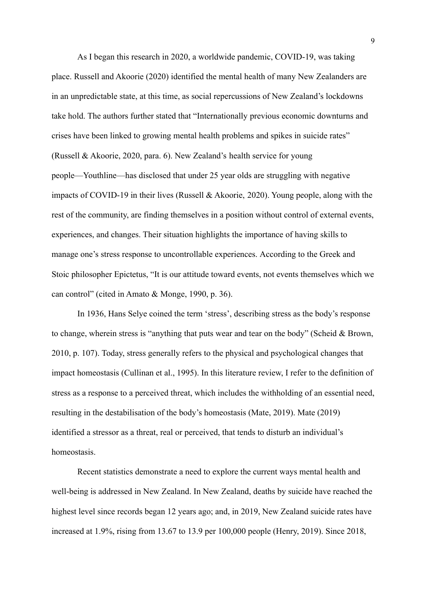As I began this research in 2020, a worldwide pandemic, COVID-19, was taking place. Russell and Akoorie (2020) identified the mental health of many New Zealanders are in an unpredictable state, at this time, as social repercussions of New Zealand's lockdowns take hold. The authors further stated that "Internationally previous economic downturns and crises have been linked to growing mental health problems and spikes in suicide rates" (Russell & Akoorie, 2020, para. 6). New Zealand's health service for young people—Youthline—has disclosed that under 25 year olds are struggling with negative impacts of COVID-19 in their lives (Russell & Akoorie, 2020). Young people, along with the rest of the community, are finding themselves in a position without control of external events, experiences, and changes. Their situation highlights the importance of having skills to manage one's stress response to uncontrollable experiences. According to the Greek and Stoic philosopher Epictetus, "It is our attitude toward events, not events themselves which we can control" (cited in Amato & Monge, 1990, p. 36).

In 1936, Hans Selye coined the term 'stress', describing stress as the body's response to change, wherein stress is "anything that puts wear and tear on the body" (Scheid & Brown, 2010, p. 107). Today, stress generally refers to the physical and psychological changes that impact homeostasis (Cullinan et al., 1995). In this literature review, I refer to the definition of stress as a response to a perceived threat, which includes the withholding of an essential need, resulting in the destabilisation of the body's homeostasis (Mate, 2019). Mate (2019) identified a stressor as a threat, real or perceived, that tends to disturb an individual's homeostasis.

Recent statistics demonstrate a need to explore the current ways mental health and well-being is addressed in New Zealand. In New Zealand, deaths by suicide have reached the highest level since records began 12 years ago; and, in 2019, New Zealand suicide rates have increased at 1.9%, rising from 13.67 to 13.9 per 100,000 people (Henry, 2019). Since 2018,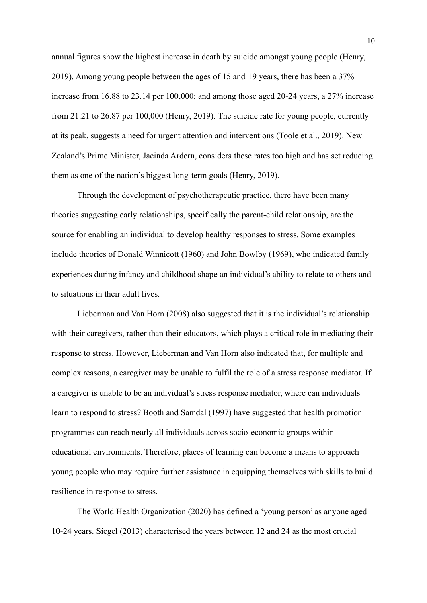annual figures show the highest increase in death by suicide amongst young people (Henry, 2019). Among young people between the ages of 15 and 19 years, there has been a 37% increase from 16.88 to 23.14 per 100,000; and among those aged 20-24 years, a 27% increase from 21.21 to 26.87 per 100,000 (Henry, 2019). The suicide rate for young people, currently at its peak, suggests a need for urgent attention and interventions (Toole et al., 2019). New Zealand's Prime Minister, Jacinda Ardern, considers these rates too high and has set reducing them as one of the nation's biggest long-term goals (Henry, 2019).

Through the development of psychotherapeutic practice, there have been many theories suggesting early relationships, specifically the parent-child relationship, are the source for enabling an individual to develop healthy responses to stress. Some examples include theories of Donald Winnicott (1960) and John Bowlby (1969), who indicated family experiences during infancy and childhood shape an individual's ability to relate to others and to situations in their adult lives.

Lieberman and Van Horn (2008) also suggested that it is the individual's relationship with their caregivers, rather than their educators, which plays a critical role in mediating their response to stress. However, Lieberman and Van Horn also indicated that, for multiple and complex reasons, a caregiver may be unable to fulfil the role of a stress response mediator. If a caregiver is unable to be an individual's stress response mediator, where can individuals learn to respond to stress? Booth and Samdal (1997) have suggested that health promotion programmes can reach nearly all individuals across socio-economic groups within educational environments. Therefore, places of learning can become a means to approach young people who may require further assistance in equipping themselves with skills to build resilience in response to stress.

The World Health Organization (2020) has defined a 'young person' as anyone aged 10-24 years. Siegel (2013) characterised the years between 12 and 24 as the most crucial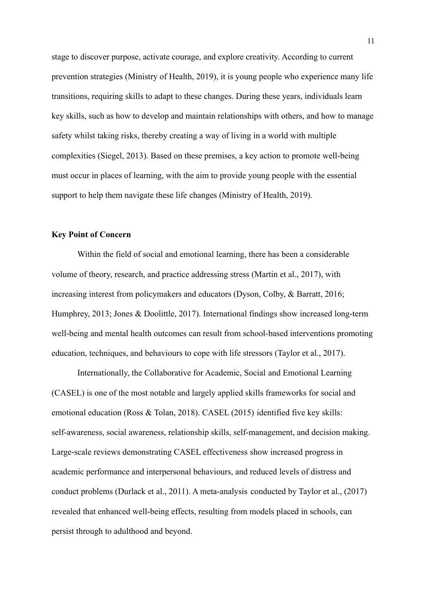stage to discover purpose, activate courage, and explore creativity. According to current prevention strategies (Ministry of Health, 2019), it is young people who experience many life transitions, requiring skills to adapt to these changes. During these years, individuals learn key skills, such as how to develop and maintain relationships with others, and how to manage safety whilst taking risks, thereby creating a way of living in a world with multiple complexities (Siegel, 2013). Based on these premises, a key action to promote well-being must occur in places of learning, with the aim to provide young people with the essential support to help them navigate these life changes (Ministry of Health, 2019).

#### **Key Point of Concern**

Within the field of social and emotional learning, there has been a considerable volume of theory, research, and practice addressing stress (Martin et al., 2017), with increasing interest from policymakers and educators (Dyson, Colby, & Barratt, 2016; Humphrey, 2013; Jones & Doolittle, 2017). International findings show increased long-term well-being and mental health outcomes can result from school-based interventions promoting education, techniques, and behaviours to cope with life stressors (Taylor et al., 2017).

Internationally, the Collaborative for Academic, Social and Emotional Learning (CASEL) is one of the most notable and largely applied skills frameworks for social and emotional education (Ross & Tolan, 2018). CASEL (2015) identified five key skills: self-awareness, social awareness, relationship skills, self-management, and decision making. Large-scale reviews demonstrating CASEL effectiveness show increased progress in academic performance and interpersonal behaviours, and reduced levels of distress and conduct problems (Durlack et al., 2011). A meta-analysis conducted by Taylor et al., (2017) revealed that enhanced well-being effects, resulting from models placed in schools, can persist through to adulthood and beyond.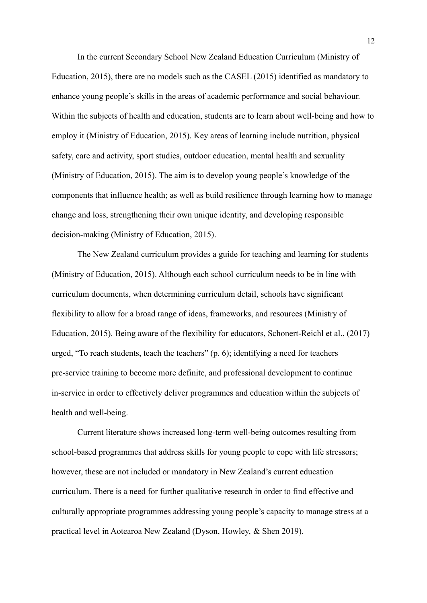In the current Secondary School New Zealand Education Curriculum (Ministry of Education, 2015), there are no models such as the CASEL (2015) identified as mandatory to enhance young people's skills in the areas of academic performance and social behaviour. Within the subjects of health and education, students are to learn about well-being and how to employ it (Ministry of Education, 2015). Key areas of learning include nutrition, physical safety, care and activity, sport studies, outdoor education, mental health and sexuality (Ministry of Education, 2015). The aim is to develop young people's knowledge of the components that influence health; as well as build resilience through learning how to manage change and loss, strengthening their own unique identity, and developing responsible decision-making (Ministry of Education, 2015).

The New Zealand curriculum provides a guide for teaching and learning for students (Ministry of Education, 2015). Although each school curriculum needs to be in line with curriculum documents, when determining curriculum detail, schools have significant flexibility to allow for a broad range of ideas, frameworks, and resources (Ministry of Education, 2015). Being aware of the flexibility for educators, Schonert-Reichl et al., (2017) urged, "To reach students, teach the teachers" (p. 6); identifying a need for teachers pre-service training to become more definite, and professional development to continue in-service in order to effectively deliver programmes and education within the subjects of health and well-being.

Current literature shows increased long-term well-being outcomes resulting from school-based programmes that address skills for young people to cope with life stressors; however, these are not included or mandatory in New Zealand's current education curriculum. There is a need for further qualitative research in order to find effective and culturally appropriate programmes addressing young people's capacity to manage stress at a practical level in Aotearoa New Zealand (Dyson, Howley, & Shen 2019).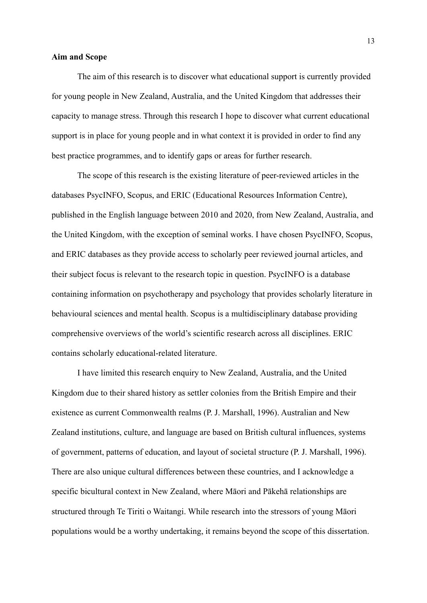#### **Aim and Scope**

The aim of this research is to discover what educational support is currently provided for young people in New Zealand, Australia, and the United Kingdom that addresses their capacity to manage stress. Through this research I hope to discover what current educational support is in place for young people and in what context it is provided in order to find any best practice programmes, and to identify gaps or areas for further research.

The scope of this research is the existing literature of peer-reviewed articles in the databases PsycINFO, Scopus, and ERIC (Educational Resources Information Centre), published in the English language between 2010 and 2020, from New Zealand, Australia, and the United Kingdom, with the exception of seminal works. I have chosen PsycINFO, Scopus, and ERIC databases as they provide access to scholarly peer reviewed journal articles, and their subject focus is relevant to the research topic in question. PsycINFO is a database containing information on psychotherapy and psychology that provides scholarly literature in behavioural sciences and mental health. Scopus is a multidisciplinary database providing comprehensive overviews of the world's scientific research across all disciplines. ERIC contains scholarly educational-related literature.

I have limited this research enquiry to New Zealand, Australia, and the United Kingdom due to their shared history as settler colonies from the British Empire and their existence as current Commonwealth realms (P. J. Marshall, 1996). Australian and New Zealand institutions, culture, and language are based on British cultural influences, systems of government, patterns of education, and layout of societal structure (P. J. Marshall, 1996). There are also unique cultural differences between these countries, and I acknowledge a specific bicultural context in New Zealand, where Māori and Pākehā relationships are structured through Te Tiriti o Waitangi. While research into the stressors of young Māori populations would be a worthy undertaking, it remains beyond the scope of this dissertation.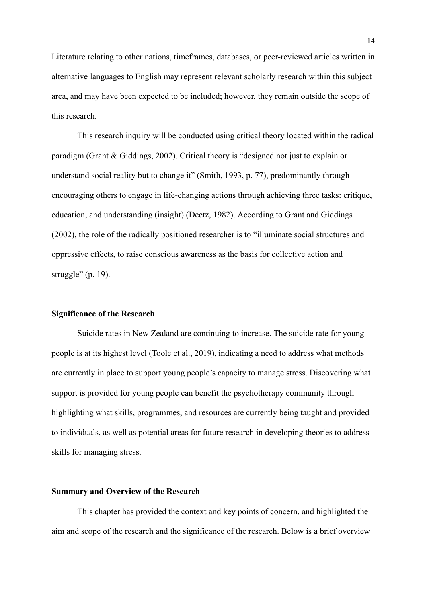Literature relating to other nations, timeframes, databases, or peer-reviewed articles written in alternative languages to English may represent relevant scholarly research within this subject area, and may have been expected to be included; however, they remain outside the scope of this research.

This research inquiry will be conducted using critical theory located within the radical paradigm (Grant & Giddings, 2002). Critical theory is "designed not just to explain or understand social reality but to change it" (Smith, 1993, p. 77), predominantly through encouraging others to engage in life-changing actions through achieving three tasks: critique, education, and understanding (insight) (Deetz, 1982). According to Grant and Giddings (2002), the role of the radically positioned researcher is to "illuminate social structures and oppressive effects, to raise conscious awareness as the basis for collective action and struggle" (p. 19).

#### **Significance of the Research**

Suicide rates in New Zealand are continuing to increase. The suicide rate for young people is at its highest level (Toole et al., 2019), indicating a need to address what methods are currently in place to support young people's capacity to manage stress. Discovering what support is provided for young people can benefit the psychotherapy community through highlighting what skills, programmes, and resources are currently being taught and provided to individuals, as well as potential areas for future research in developing theories to address skills for managing stress.

#### **Summary and Overview of the Research**

This chapter has provided the context and key points of concern, and highlighted the aim and scope of the research and the significance of the research. Below is a brief overview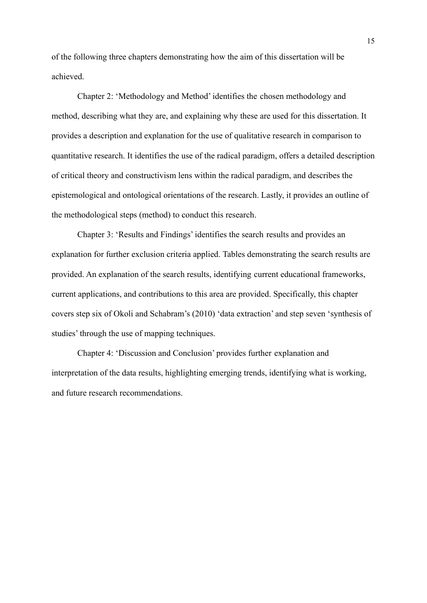of the following three chapters demonstrating how the aim of this dissertation will be achieved.

Chapter 2: 'Methodology and Method' identifies the chosen methodology and method, describing what they are, and explaining why these are used for this dissertation. It provides a description and explanation for the use of qualitative research in comparison to quantitative research. It identifies the use of the radical paradigm, offers a detailed description of critical theory and constructivism lens within the radical paradigm, and describes the epistemological and ontological orientations of the research. Lastly, it provides an outline of the methodological steps (method) to conduct this research.

Chapter 3: 'Results and Findings' identifies the search results and provides an explanation for further exclusion criteria applied. Tables demonstrating the search results are provided. An explanation of the search results, identifying current educational frameworks, current applications, and contributions to this area are provided. Specifically, this chapter covers step six of Okoli and Schabram's (2010) 'data extraction' and step seven 'synthesis of studies' through the use of mapping techniques.

Chapter 4: 'Discussion and Conclusion' provides further explanation and interpretation of the data results, highlighting emerging trends, identifying what is working, and future research recommendations.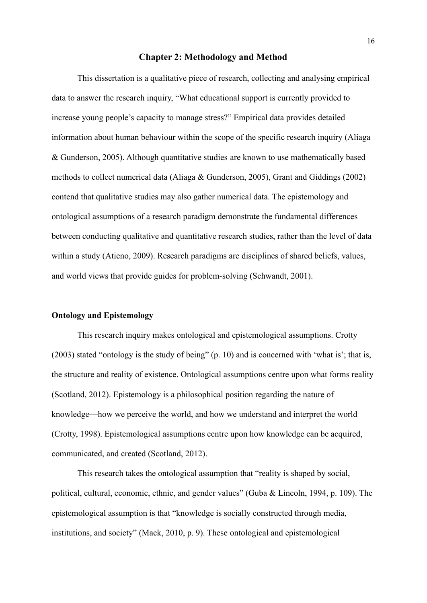#### **Chapter 2: Methodology and Method**

This dissertation is a qualitative piece of research, collecting and analysing empirical data to answer the research inquiry, "What educational support is currently provided to increase young people's capacity to manage stress?" Empirical data provides detailed information about human behaviour within the scope of the specific research inquiry (Aliaga & Gunderson, 2005). Although quantitative studies are known to use mathematically based methods to collect numerical data (Aliaga & Gunderson, 2005), Grant and Giddings (2002) contend that qualitative studies may also gather numerical data. The epistemology and ontological assumptions of a research paradigm demonstrate the fundamental differences between conducting qualitative and quantitative research studies, rather than the level of data within a study (Atieno, 2009). Research paradigms are disciplines of shared beliefs, values, and world views that provide guides for problem-solving (Schwandt, 2001).

#### **Ontology and Epistemology**

This research inquiry makes ontological and epistemological assumptions. Crotty (2003) stated "ontology is the study of being" (p. 10) and is concerned with 'what is'; that is, the structure and reality of existence. Ontological assumptions centre upon what forms reality (Scotland, 2012). Epistemology is a philosophical position regarding the nature of knowledge—how we perceive the world, and how we understand and interpret the world (Crotty, 1998). Epistemological assumptions centre upon how knowledge can be acquired, communicated, and created (Scotland, 2012).

This research takes the ontological assumption that "reality is shaped by social, political, cultural, economic, ethnic, and gender values" (Guba & Lincoln, 1994, p. 109). The epistemological assumption is that "knowledge is socially constructed through media, institutions, and society" (Mack, 2010, p. 9). These ontological and epistemological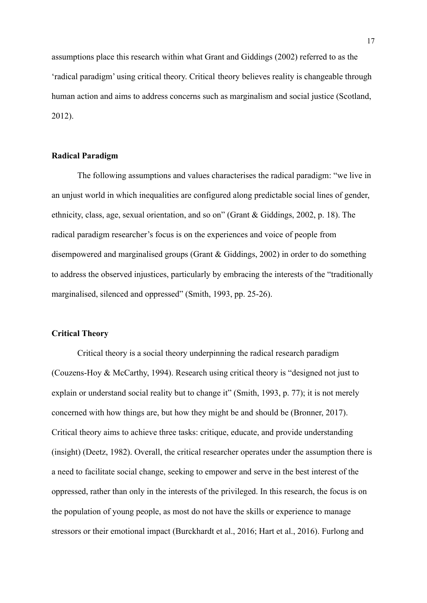assumptions place this research within what Grant and Giddings (2002) referred to as the 'radical paradigm' using critical theory. Critical theory believes reality is changeable through human action and aims to address concerns such as marginalism and social justice (Scotland, 2012).

#### **Radical Paradigm**

The following assumptions and values characterises the radical paradigm: "we live in an unjust world in which inequalities are configured along predictable social lines of gender, ethnicity, class, age, sexual orientation, and so on" (Grant & Giddings, 2002, p. 18). The radical paradigm researcher's focus is on the experiences and voice of people from disempowered and marginalised groups (Grant & Giddings, 2002) in order to do something to address the observed injustices, particularly by embracing the interests of the "traditionally marginalised, silenced and oppressed" (Smith, 1993, pp. 25-26).

#### **Critical Theory**

Critical theory is a social theory underpinning the radical research paradigm (Couzens-Hoy & McCarthy, 1994). Research using critical theory is "designed not just to explain or understand social reality but to change it" (Smith, 1993, p. 77); it is not merely concerned with how things are, but how they might be and should be (Bronner, 2017). Critical theory aims to achieve three tasks: critique, educate, and provide understanding (insight) (Deetz, 1982). Overall, the critical researcher operates under the assumption there is a need to facilitate social change, seeking to empower and serve in the best interest of the oppressed, rather than only in the interests of the privileged. In this research, the focus is on the population of young people, as most do not have the skills or experience to manage stressors or their emotional impact (Burckhardt et al., 2016; Hart et al., 2016). Furlong and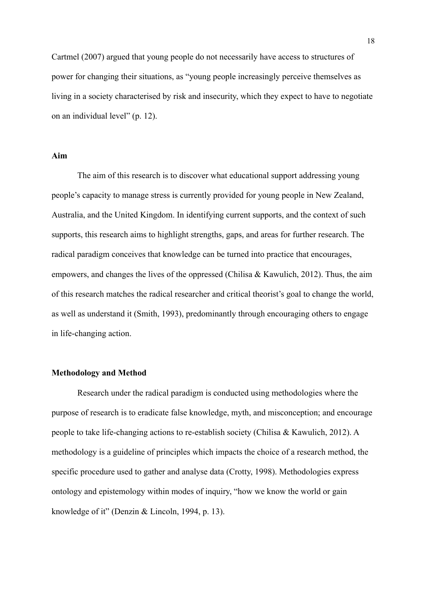Cartmel (2007) argued that young people do not necessarily have access to structures of power for changing their situations, as "young people increasingly perceive themselves as living in a society characterised by risk and insecurity, which they expect to have to negotiate on an individual level" (p. 12).

#### **Aim**

The aim of this research is to discover what educational support addressing young people's capacity to manage stress is currently provided for young people in New Zealand, Australia, and the United Kingdom. In identifying current supports, and the context of such supports, this research aims to highlight strengths, gaps, and areas for further research. The radical paradigm conceives that knowledge can be turned into practice that encourages, empowers, and changes the lives of the oppressed (Chilisa & Kawulich, 2012). Thus, the aim of this research matches the radical researcher and critical theorist's goal to change the world, as well as understand it (Smith, 1993), predominantly through encouraging others to engage in life-changing action.

### **Methodology and Method**

Research under the radical paradigm is conducted using methodologies where the purpose of research is to eradicate false knowledge, myth, and misconception; and encourage people to take life-changing actions to re-establish society (Chilisa & Kawulich, 2012). A methodology is a guideline of principles which impacts the choice of a research method, the specific procedure used to gather and analyse data (Crotty, 1998). Methodologies express ontology and epistemology within modes of inquiry, "how we know the world or gain knowledge of it" (Denzin & Lincoln, 1994, p. 13).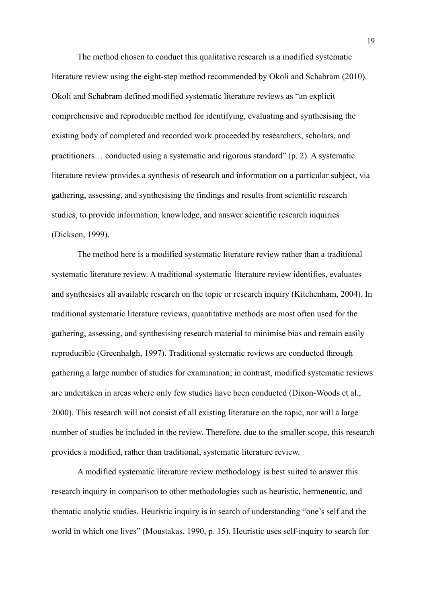The method chosen to conduct this qualitative research is a modified systematic literature review using the eight-step method recommended by Okoli and Schabram (2010). Okoli and Schabram defined modified systematic literature reviews as "an explicit comprehensive and reproducible method for identifying, evaluating and synthesising the existing body of completed and recorded work proceeded by researchers, scholars, and practitioners… conducted using a systematic and rigorous standard" (p. 2). A systematic literature review provides a synthesis of research and information on a particular subject, via gathering, assessing, and synthesising the findings and results from scientific research studies, to provide information, knowledge, and answer scientific research inquiries (Dickson, 1999).

The method here is a modified systematic literature review rather than a traditional systematic literature review. A traditional systematic literature review identifies, evaluates and synthesises all available research on the topic or research inquiry (Kitchenham, 2004). In traditional systematic literature reviews, quantitative methods are most often used for the gathering, assessing, and synthesising research material to minimise bias and remain easily reproducible (Greenhalgh, 1997). Traditional systematic reviews are conducted through gathering a large number of studies for examination; in contrast, modified systematic reviews are undertaken in areas where only few studies have been conducted (Dixon-Woods et al., 2000). This research will not consist of all existing literature on the topic, nor will a large number of studies be included in the review. Therefore, due to the smaller scope, this research provides a modified, rather than traditional, systematic literature review.

A modified systematic literature review methodology is best suited to answer this research inquiry in comparison to other methodologies such as heuristic, hermeneutic, and thematic analytic studies. Heuristic inquiry is in search of understanding "one's self and the world in which one lives" (Moustakas, 1990, p. 15). Heuristic uses self-inquiry to search for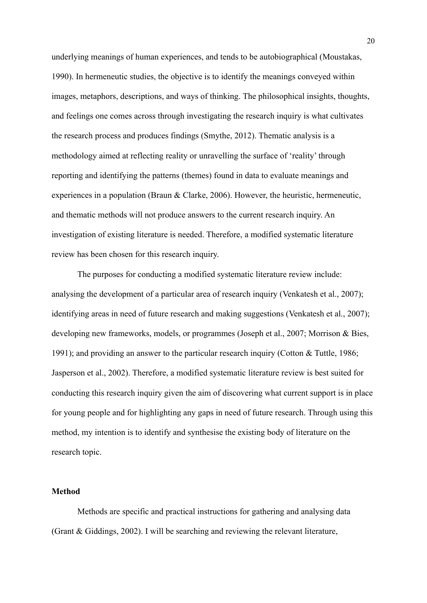underlying meanings of human experiences, and tends to be autobiographical (Moustakas, 1990). In hermeneutic studies, the objective is to identify the meanings conveyed within images, metaphors, descriptions, and ways of thinking. The philosophical insights, thoughts, and feelings one comes across through investigating the research inquiry is what cultivates the research process and produces findings (Smythe, 2012). Thematic analysis is a methodology aimed at reflecting reality or unravelling the surface of 'reality' through reporting and identifying the patterns (themes) found in data to evaluate meanings and experiences in a population (Braun & Clarke, 2006). However, the heuristic, hermeneutic, and thematic methods will not produce answers to the current research inquiry. An investigation of existing literature is needed. Therefore, a modified systematic literature review has been chosen for this research inquiry.

The purposes for conducting a modified systematic literature review include: analysing the development of a particular area of research inquiry (Venkatesh et al., 2007); identifying areas in need of future research and making suggestions (Venkatesh et al., 2007); developing new frameworks, models, or programmes (Joseph et al., 2007; Morrison & Bies, 1991); and providing an answer to the particular research inquiry (Cotton & Tuttle, 1986; Jasperson et al., 2002). Therefore, a modified systematic literature review is best suited for conducting this research inquiry given the aim of discovering what current support is in place for young people and for highlighting any gaps in need of future research. Through using this method, my intention is to identify and synthesise the existing body of literature on the research topic.

#### **Method**

Methods are specific and practical instructions for gathering and analysing data (Grant & Giddings, 2002). I will be searching and reviewing the relevant literature,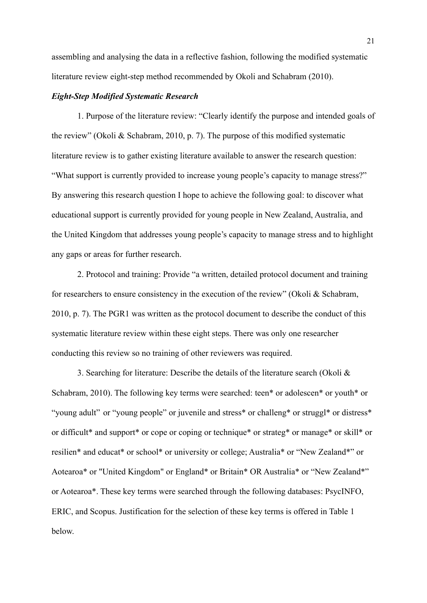assembling and analysing the data in a reflective fashion, following the modified systematic literature review eight-step method recommended by Okoli and Schabram (2010).

#### *Eight-Step Modified Systematic Research*

1. Purpose of the literature review: "Clearly identify the purpose and intended goals of the review" (Okoli & Schabram, 2010, p. 7). The purpose of this modified systematic literature review is to gather existing literature available to answer the research question: "What support is currently provided to increase young people's capacity to manage stress?" By answering this research question I hope to achieve the following goal: to discover what educational support is currently provided for young people in New Zealand, Australia, and the United Kingdom that addresses young people's capacity to manage stress and to highlight any gaps or areas for further research.

2. Protocol and training: Provide "a written, detailed protocol document and training for researchers to ensure consistency in the execution of the review" (Okoli & Schabram, 2010, p. 7). The PGR1 was written as the protocol document to describe the conduct of this systematic literature review within these eight steps. There was only one researcher conducting this review so no training of other reviewers was required.

3. Searching for literature: Describe the details of the literature search (Okoli & Schabram, 2010). The following key terms were searched: teen\* or adolescen\* or youth\* or "young adult" or "young people" or juvenile and stress\* or challeng\* or struggl\* or distress\* or difficult\* and support\* or cope or coping or technique\* or strateg\* or manage\* or skill\* or resilien\* and educat\* or school\* or university or college; Australia\* or "New Zealand\*" or Aotearoa\* or "United Kingdom" or England\* or Britain\* OR Australia\* or "New Zealand\*" or Aotearoa\*. These key terms were searched through the following databases: PsycINFO, ERIC, and Scopus. Justification for the selection of these key terms is offered in Table 1 below.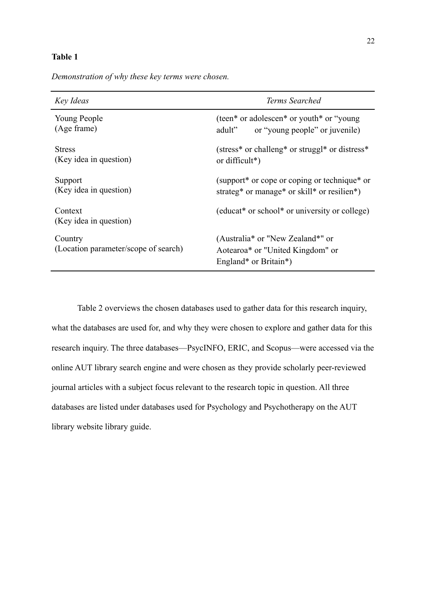#### **Table 1**

*Demonstration of why these key terms were chosen. Key Ideas Terms Searched*

| Key Ideas                                       | Terms Searched                                                                                                         |  |
|-------------------------------------------------|------------------------------------------------------------------------------------------------------------------------|--|
| Young People<br>(Age frame)                     | (teen* or adolescen* or youth* or "young")<br>or "young people" or juvenile)<br>adult"                                 |  |
| <b>Stress</b><br>(Key idea in question)         | (stress* or challeng* or struggl* or distress*<br>or difficult*)                                                       |  |
| Support<br>(Key idea in question)               | (support* or cope or coping or technique* or<br>strateg* or manage* or skill* or resilien*)                            |  |
| Context<br>(Key idea in question)               | (educat <sup>*</sup> or school <sup>*</sup> or university or college)                                                  |  |
| Country<br>(Location parameter/scope of search) | (Australia <sup>*</sup> or "New Zealand <sup>*</sup> " or<br>Aotearoa* or "United Kingdom" or<br>England* or Britain*) |  |

Table 2 overviews the chosen databases used to gather data for this research inquiry, what the databases are used for, and why they were chosen to explore and gather data for this research inquiry. The three databases—PsycINFO, ERIC, and Scopus—were accessed via the online AUT library search engine and were chosen as they provide scholarly peer-reviewed journal articles with a subject focus relevant to the research topic in question. All three databases are listed under databases used for Psychology and Psychotherapy on the AUT library website library guide.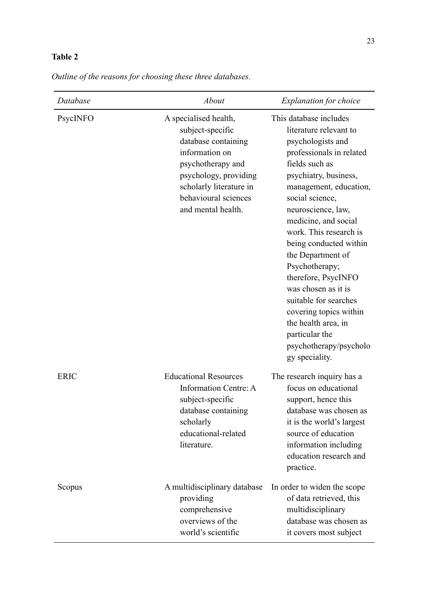# **Table 2**

| Database    | <b>About</b>                                                                                                                                                                                              | <b>Explanation for choice</b>                                                                                                                                                                                                                                                                                                                                                                                                                                                                                            |
|-------------|-----------------------------------------------------------------------------------------------------------------------------------------------------------------------------------------------------------|--------------------------------------------------------------------------------------------------------------------------------------------------------------------------------------------------------------------------------------------------------------------------------------------------------------------------------------------------------------------------------------------------------------------------------------------------------------------------------------------------------------------------|
| PsycINFO    | A specialised health,<br>subject-specific<br>database containing<br>information on<br>psychotherapy and<br>psychology, providing<br>scholarly literature in<br>behavioural sciences<br>and mental health. | This database includes<br>literature relevant to<br>psychologists and<br>professionals in related<br>fields such as<br>psychiatry, business,<br>management, education,<br>social science,<br>neuroscience, law,<br>medicine, and social<br>work. This research is<br>being conducted within<br>the Department of<br>Psychotherapy;<br>therefore, PsycINFO<br>was chosen as it is<br>suitable for searches<br>covering topics within<br>the health area, in<br>particular the<br>psychotherapy/psycholo<br>gy speciality. |
| <b>ERIC</b> | <b>Educational Resources</b><br>Information Centre: A<br>subject-specific<br>database containing<br>scholarly<br>educational-related<br>literature.                                                       | The research inquiry has a<br>focus on educational<br>support, hence this<br>database was chosen as<br>it is the world's largest<br>source of education<br>information including<br>education research and<br>practice.                                                                                                                                                                                                                                                                                                  |
| Scopus      | A multidisciplinary database<br>providing<br>comprehensive<br>overviews of the                                                                                                                            | In order to widen the scope<br>of data retrieved, this<br>multidisciplinary<br>database was chosen as                                                                                                                                                                                                                                                                                                                                                                                                                    |

world's scientific

it covers most subject

*Outline of the reasons for choosing these three databases.*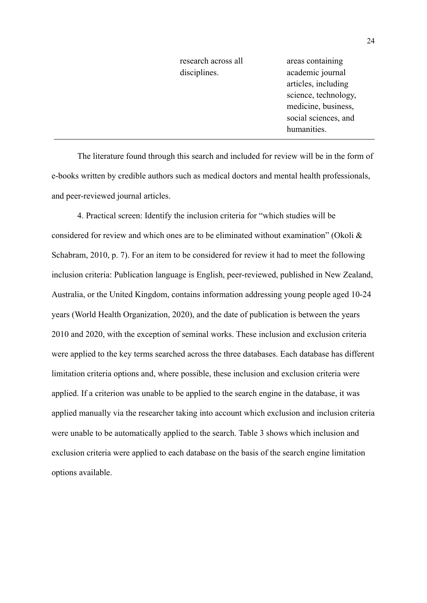research across all disciplines.

areas containing academic journal articles, including science, technology, medicine, business, social sciences, and humanities.

The literature found through this search and included for review will be in the form of e-books written by credible authors such as medical doctors and mental health professionals, and peer-reviewed journal articles.

4. Practical screen: Identify the inclusion criteria for "which studies will be considered for review and which ones are to be eliminated without examination" (Okoli  $\&$ Schabram, 2010, p. 7). For an item to be considered for review it had to meet the following inclusion criteria: Publication language is English, peer-reviewed, published in New Zealand, Australia, or the United Kingdom, contains information addressing young people aged 10-24 years (World Health Organization, 2020), and the date of publication is between the years 2010 and 2020, with the exception of seminal works. These inclusion and exclusion criteria were applied to the key terms searched across the three databases. Each database has different limitation criteria options and, where possible, these inclusion and exclusion criteria were applied. If a criterion was unable to be applied to the search engine in the database, it was applied manually via the researcher taking into account which exclusion and inclusion criteria were unable to be automatically applied to the search. Table 3 shows which inclusion and exclusion criteria were applied to each database on the basis of the search engine limitation options available.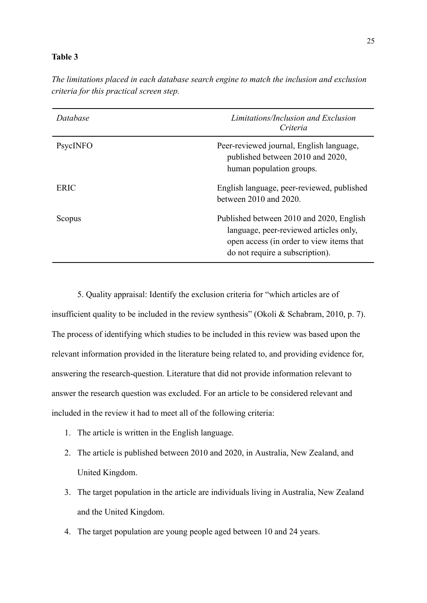#### **Table 3**

| Database | Limitations/Inclusion and Exclusion<br>Criteria                                                                                                                   |
|----------|-------------------------------------------------------------------------------------------------------------------------------------------------------------------|
| PsycINFO | Peer-reviewed journal, English language,<br>published between 2010 and 2020,<br>human population groups.                                                          |
| ERIC     | English language, peer-reviewed, published<br>between $2010$ and $2020$ .                                                                                         |
| Scopus   | Published between 2010 and 2020, English<br>language, peer-reviewed articles only,<br>open access (in order to view items that<br>do not require a subscription). |

*The limitations placed in each database search engine to match the inclusion and exclusion criteria for this practical screen step.*

5. Quality appraisal: Identify the exclusion criteria for "which articles are of insufficient quality to be included in the review synthesis" (Okoli & Schabram, 2010, p. 7). The process of identifying which studies to be included in this review was based upon the relevant information provided in the literature being related to, and providing evidence for, answering the research-question. Literature that did not provide information relevant to answer the research question was excluded. For an article to be considered relevant and included in the review it had to meet all of the following criteria:

- 1. The article is written in the English language.
- 2. The article is published between 2010 and 2020, in Australia, New Zealand, and United Kingdom.
- 3. The target population in the article are individuals living in Australia, New Zealand and the United Kingdom.
- 4. The target population are young people aged between 10 and 24 years.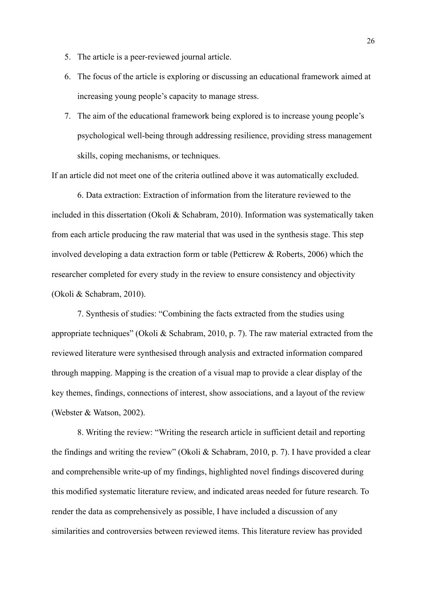- 5. The article is a peer-reviewed journal article.
- 6. The focus of the article is exploring or discussing an educational framework aimed at increasing young people's capacity to manage stress.
- 7. The aim of the educational framework being explored is to increase young people's psychological well-being through addressing resilience, providing stress management skills, coping mechanisms, or techniques.

If an article did not meet one of the criteria outlined above it was automatically excluded.

6. Data extraction: Extraction of information from the literature reviewed to the included in this dissertation (Okoli & Schabram, 2010). Information was systematically taken from each article producing the raw material that was used in the synthesis stage. This step involved developing a data extraction form or table (Petticrew & Roberts, 2006) which the researcher completed for every study in the review to ensure consistency and objectivity (Okoli & Schabram, 2010).

7. Synthesis of studies: "Combining the facts extracted from the studies using appropriate techniques" (Okoli & Schabram, 2010, p. 7). The raw material extracted from the reviewed literature were synthesised through analysis and extracted information compared through mapping. Mapping is the creation of a visual map to provide a clear display of the key themes, findings, connections of interest, show associations, and a layout of the review (Webster & Watson, 2002).

8. Writing the review: "Writing the research article in sufficient detail and reporting the findings and writing the review" (Okoli & Schabram, 2010, p. 7). I have provided a clear and comprehensible write-up of my findings, highlighted novel findings discovered during this modified systematic literature review, and indicated areas needed for future research. To render the data as comprehensively as possible, I have included a discussion of any similarities and controversies between reviewed items. This literature review has provided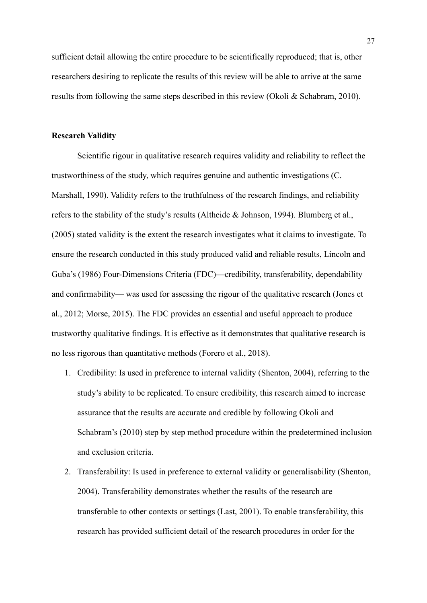sufficient detail allowing the entire procedure to be scientifically reproduced; that is, other researchers desiring to replicate the results of this review will be able to arrive at the same results from following the same steps described in this review (Okoli & Schabram, 2010).

#### **Research Validity**

Scientific rigour in qualitative research requires validity and reliability to reflect the trustworthiness of the study, which requires genuine and authentic investigations (C. Marshall, 1990). Validity refers to the truthfulness of the research findings, and reliability refers to the stability of the study's results (Altheide & Johnson, 1994). Blumberg et al., (2005) stated validity is the extent the research investigates what it claims to investigate. To ensure the research conducted in this study produced valid and reliable results, Lincoln and Guba's (1986) Four-Dimensions Criteria (FDC)—credibility, transferability, dependability and confirmability— was used for assessing the rigour of the qualitative research (Jones et al., 2012; Morse, 2015). The FDC provides an essential and useful approach to produce trustworthy qualitative findings. It is effective as it demonstrates that qualitative research is no less rigorous than quantitative methods (Forero et al., 2018).

- 1. Credibility: Is used in preference to internal validity (Shenton, 2004), referring to the study's ability to be replicated. To ensure credibility, this research aimed to increase assurance that the results are accurate and credible by following Okoli and Schabram's (2010) step by step method procedure within the predetermined inclusion and exclusion criteria.
- 2. Transferability: Is used in preference to external validity or generalisability (Shenton, 2004). Transferability demonstrates whether the results of the research are transferable to other contexts or settings (Last, 2001). To enable transferability, this research has provided sufficient detail of the research procedures in order for the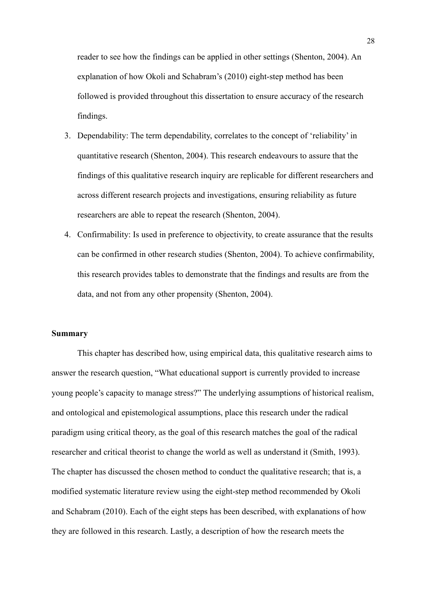reader to see how the findings can be applied in other settings (Shenton, 2004). An explanation of how Okoli and Schabram's (2010) eight-step method has been followed is provided throughout this dissertation to ensure accuracy of the research findings.

- 3. Dependability: The term dependability, correlates to the concept of 'reliability' in quantitative research (Shenton, 2004). This research endeavours to assure that the findings of this qualitative research inquiry are replicable for different researchers and across different research projects and investigations, ensuring reliability as future researchers are able to repeat the research (Shenton, 2004).
- 4. Confirmability: Is used in preference to objectivity, to create assurance that the results can be confirmed in other research studies (Shenton, 2004). To achieve confirmability, this research provides tables to demonstrate that the findings and results are from the data, and not from any other propensity (Shenton, 2004).

#### **Summary**

This chapter has described how, using empirical data, this qualitative research aims to answer the research question, "What educational support is currently provided to increase young people's capacity to manage stress?" The underlying assumptions of historical realism, and ontological and epistemological assumptions, place this research under the radical paradigm using critical theory, as the goal of this research matches the goal of the radical researcher and critical theorist to change the world as well as understand it (Smith, 1993). The chapter has discussed the chosen method to conduct the qualitative research; that is, a modified systematic literature review using the eight-step method recommended by Okoli and Schabram (2010). Each of the eight steps has been described, with explanations of how they are followed in this research. Lastly, a description of how the research meets the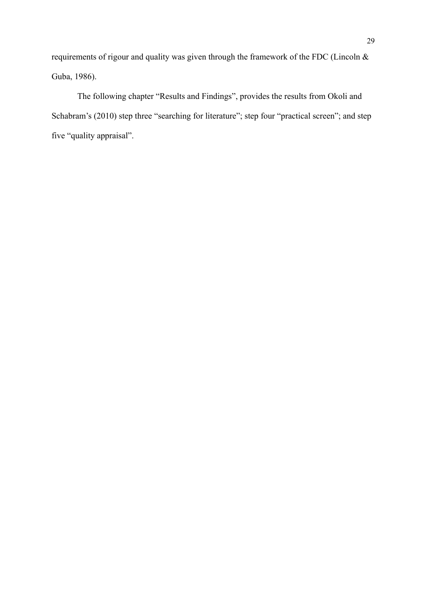requirements of rigour and quality was given through the framework of the FDC (Lincoln & Guba, 1986).

The following chapter "Results and Findings", provides the results from Okoli and Schabram's (2010) step three "searching for literature"; step four "practical screen"; and step five "quality appraisal".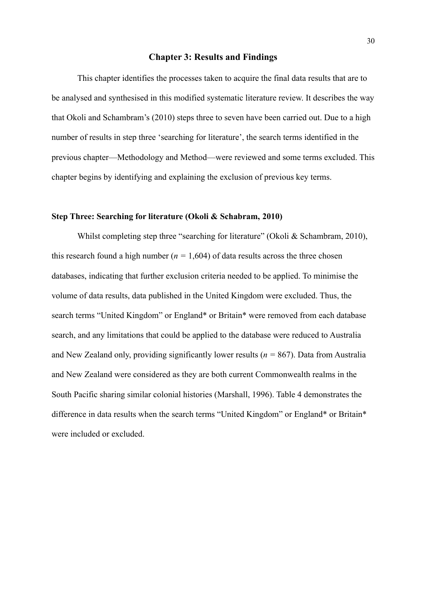#### **Chapter 3: Results and Findings**

This chapter identifies the processes taken to acquire the final data results that are to be analysed and synthesised in this modified systematic literature review. It describes the way that Okoli and Schambram's (2010) steps three to seven have been carried out. Due to a high number of results in step three 'searching for literature', the search terms identified in the previous chapter—Methodology and Method—were reviewed and some terms excluded. This chapter begins by identifying and explaining the exclusion of previous key terms.

#### **Step Three: Searching for literature (Okoli & Schabram, 2010)**

Whilst completing step three "searching for literature" (Okoli & Schambram, 2010), this research found a high number ( $n = 1,604$ ) of data results across the three chosen databases, indicating that further exclusion criteria needed to be applied. To minimise the volume of data results, data published in the United Kingdom were excluded. Thus, the search terms "United Kingdom" or England\* or Britain\* were removed from each database search, and any limitations that could be applied to the database were reduced to Australia and New Zealand only, providing significantly lower results (*n =* 867). Data from Australia and New Zealand were considered as they are both current Commonwealth realms in the South Pacific sharing similar colonial histories (Marshall, 1996). Table 4 demonstrates the difference in data results when the search terms "United Kingdom" or England\* or Britain\* were included or excluded.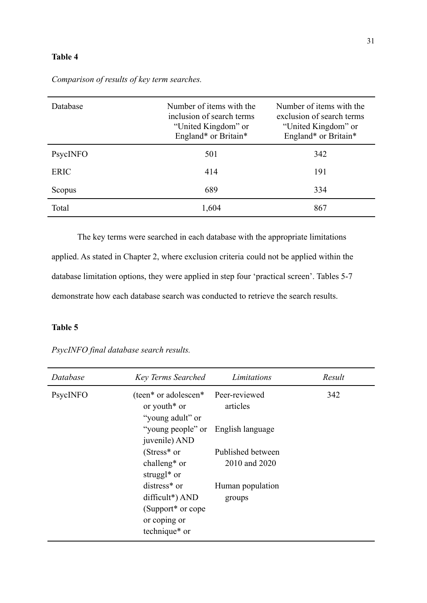#### **Table 4**

| Database    | Number of items with the<br>inclusion of search terms<br>"United Kingdom" or<br>England* or Britain* | Number of items with the<br>exclusion of search terms<br>"United Kingdom" or<br>England* or Britain* |
|-------------|------------------------------------------------------------------------------------------------------|------------------------------------------------------------------------------------------------------|
| PsycINFO    | 501                                                                                                  | 342                                                                                                  |
| <b>ERIC</b> | 414                                                                                                  | 191                                                                                                  |
| Scopus      | 689                                                                                                  | 334                                                                                                  |
| Total       | 1,604                                                                                                | 867                                                                                                  |

*Comparison of results of key term searches.*

The key terms were searched in each database with the appropriate limitations applied. As stated in Chapter 2, where exclusion criteria could not be applied within the database limitation options, they were applied in step four 'practical screen'. Tables 5-7 demonstrate how each database search was conducted to retrieve the search results.

# **Table 5**

*PsycINFO final database search results.*

| Database | <b>Key Terms Searched</b>                                                                       | Limitations                | Result |
|----------|-------------------------------------------------------------------------------------------------|----------------------------|--------|
| PsycINFO | (teen* or adolescen*<br>or youth <sup>*</sup> or<br>"young adult" or                            | Peer-reviewed<br>articles  | 342    |
|          | "young people" or English language"<br>juvenile) AND                                            |                            |        |
|          | $(Stress* or$                                                                                   | Published between          |        |
|          | challeng <sup>*</sup> or<br>struggl <sup>*</sup> or                                             | 2010 and 2020              |        |
|          | distress <sup>*</sup> or<br>$difficult*)$ AND<br>(Support <sup>*</sup> or cope)<br>or coping or | Human population<br>groups |        |
|          | technique* or                                                                                   |                            |        |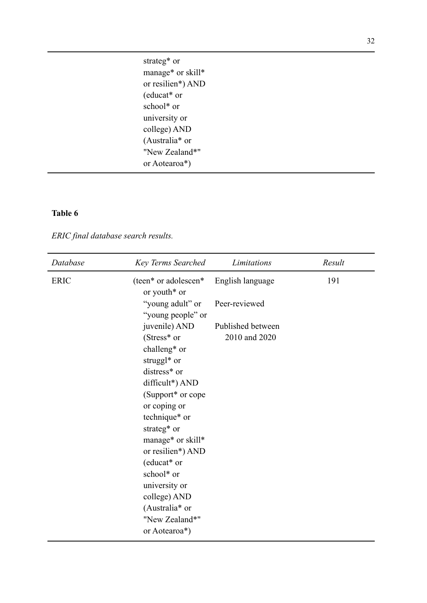strateg\* or manage\* or skill\* or resilien\*) AND (educat\* or school\* or university or college) AND (Australia\* or "New Zealand\*" or Aotearoa\*)

### **Table 6**

*ERIC final database search results.*

| Database    | <b>Key Terms Searched</b>                        | Limitations       | Result |
|-------------|--------------------------------------------------|-------------------|--------|
| <b>ERIC</b> | (teen* or adolescen*<br>or youth <sup>*</sup> or | English language  | 191    |
|             | "young adult" or<br>"young people" or            | Peer-reviewed     |        |
|             | juvenile) AND                                    | Published between |        |
|             | (Stress* or                                      | 2010 and 2020     |        |
|             | challeng* or                                     |                   |        |
|             | struggl <sup>*</sup> or                          |                   |        |
|             | distress* or                                     |                   |        |
|             | difficult*) AND                                  |                   |        |
|             | (Support* or cope                                |                   |        |
|             | or coping or                                     |                   |        |
|             | technique* or                                    |                   |        |
|             | strateg* or                                      |                   |        |
|             | manage* or skill*                                |                   |        |
|             | or resilien*) AND                                |                   |        |
|             | (educat* or                                      |                   |        |
|             | school* or                                       |                   |        |
|             | university or                                    |                   |        |
|             | college) AND                                     |                   |        |
|             | (Australia* or                                   |                   |        |
|             | "New Zealand*"                                   |                   |        |
|             | or Aotearoa*)                                    |                   |        |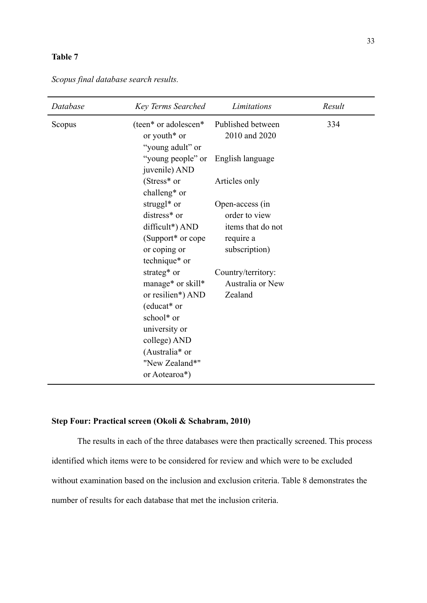#### **Table 7**

| Database | <b>Key Terms Searched</b>                                                                                                                                                                                                                                             | Limitations                                                                                                                              | Result |
|----------|-----------------------------------------------------------------------------------------------------------------------------------------------------------------------------------------------------------------------------------------------------------------------|------------------------------------------------------------------------------------------------------------------------------------------|--------|
| Scopus   | (teen* or adolescen*<br>or youth <sup>*</sup> or<br>"young adult" or                                                                                                                                                                                                  | Published between<br>2010 and 2020                                                                                                       | 334    |
|          | "young people" or<br>juvenile) AND                                                                                                                                                                                                                                    | English language                                                                                                                         |        |
|          | (Stress* or<br>challeng <sup>*</sup> or                                                                                                                                                                                                                               | Articles only                                                                                                                            |        |
|          | struggl <sup>*</sup> or<br>distress* or<br>difficult*) AND<br>(Support* or cope<br>or coping or<br>technique* or<br>strateg* or<br>manage* or skill*<br>or resilien*) AND<br>(educat* or<br>school* or<br>university or<br>college) AND<br>(Australia <sup>*</sup> or | Open-access (in<br>order to view<br>items that do not<br>require a<br>subscription)<br>Country/territory:<br>Australia or New<br>Zealand |        |
|          | "New Zealand*"<br>or Aotearoa*)                                                                                                                                                                                                                                       |                                                                                                                                          |        |

*Scopus final database search results.*

# **Step Four: Practical screen (Okoli & Schabram, 2010)**

The results in each of the three databases were then practically screened. This process identified which items were to be considered for review and which were to be excluded without examination based on the inclusion and exclusion criteria. Table 8 demonstrates the number of results for each database that met the inclusion criteria.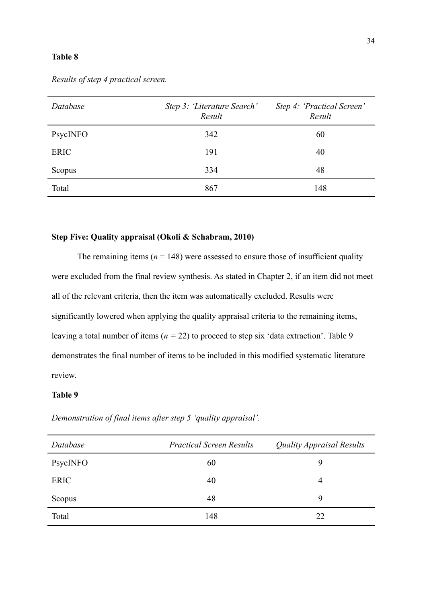#### **Table 8**

| Database    | Step 3: 'Literature Search'<br>Result | Step 4: 'Practical Screen'<br>Result |
|-------------|---------------------------------------|--------------------------------------|
| PsycINFO    | 342                                   | 60                                   |
| <b>ERIC</b> | 191                                   | 40                                   |
| Scopus      | 334                                   | 48                                   |
| Total       | 867                                   | 148                                  |

*Results of step 4 practical screen.*

#### **Step Five: Quality appraisal (Okoli & Schabram, 2010)**

The remaining items  $(n = 148)$  were assessed to ensure those of insufficient quality were excluded from the final review synthesis. As stated in Chapter 2, if an item did not meet all of the relevant criteria, then the item was automatically excluded. Results were significantly lowered when applying the quality appraisal criteria to the remaining items, leaving a total number of items (*n =* 22) to proceed to step six 'data extraction'. Table 9 demonstrates the final number of items to be included in this modified systematic literature review.

#### **Table 9**

*Demonstration of final items after step 5 'quality appraisal'.*

| Database    | <b>Practical Screen Results</b> | <b>Quality Appraisal Results</b> |
|-------------|---------------------------------|----------------------------------|
| PsycINFO    | 60                              | 9                                |
| <b>ERIC</b> | 40                              | 4                                |
| Scopus      | 48                              | 9                                |
| Total       | 148                             | 22                               |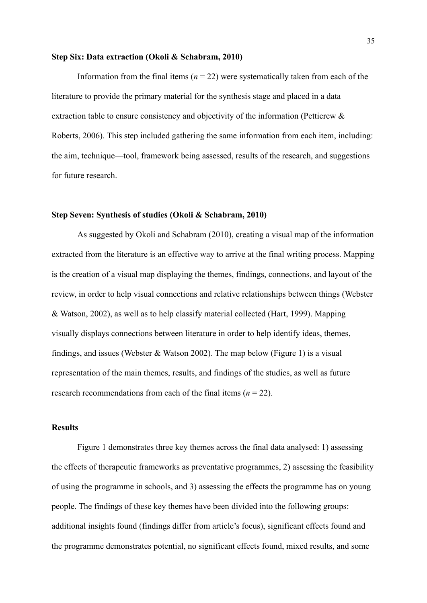#### **Step Six: Data extraction (Okoli & Schabram, 2010)**

Information from the final items  $(n = 22)$  were systematically taken from each of the literature to provide the primary material for the synthesis stage and placed in a data extraction table to ensure consistency and objectivity of the information (Petticrew & Roberts, 2006). This step included gathering the same information from each item, including: the aim, technique—tool, framework being assessed, results of the research, and suggestions for future research.

#### **Step Seven: Synthesis of studies (Okoli & Schabram, 2010)**

As suggested by Okoli and Schabram (2010), creating a visual map of the information extracted from the literature is an effective way to arrive at the final writing process. Mapping is the creation of a visual map displaying the themes, findings, connections, and layout of the review, in order to help visual connections and relative relationships between things (Webster & Watson, 2002), as well as to help classify material collected (Hart, 1999). Mapping visually displays connections between literature in order to help identify ideas, themes, findings, and issues (Webster & Watson 2002). The map below (Figure 1) is a visual representation of the main themes, results, and findings of the studies, as well as future research recommendations from each of the final items  $(n = 22)$ .

#### **Results**

Figure 1 demonstrates three key themes across the final data analysed: 1) assessing the effects of therapeutic frameworks as preventative programmes, 2) assessing the feasibility of using the programme in schools, and 3) assessing the effects the programme has on young people. The findings of these key themes have been divided into the following groups: additional insights found (findings differ from article's focus), significant effects found and the programme demonstrates potential, no significant effects found, mixed results, and some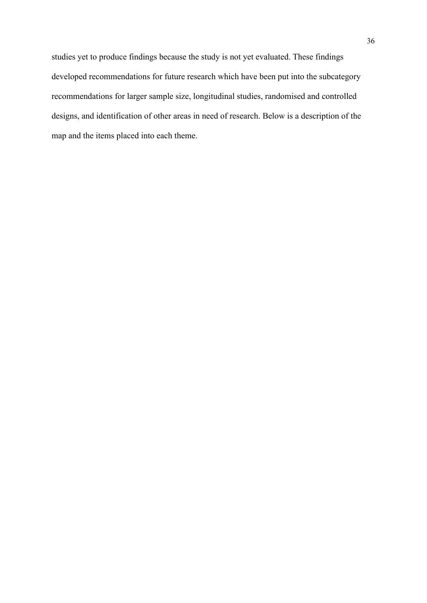studies yet to produce findings because the study is not yet evaluated. These findings developed recommendations for future research which have been put into the subcategory recommendations for larger sample size, longitudinal studies, randomised and controlled designs, and identification of other areas in need of research. Below is a description of the map and the items placed into each theme.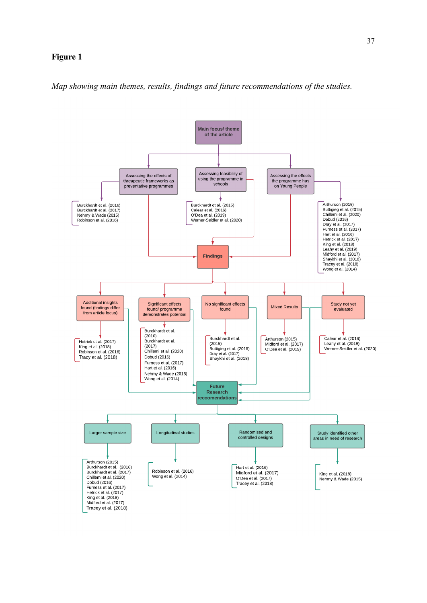### **Figure 1**



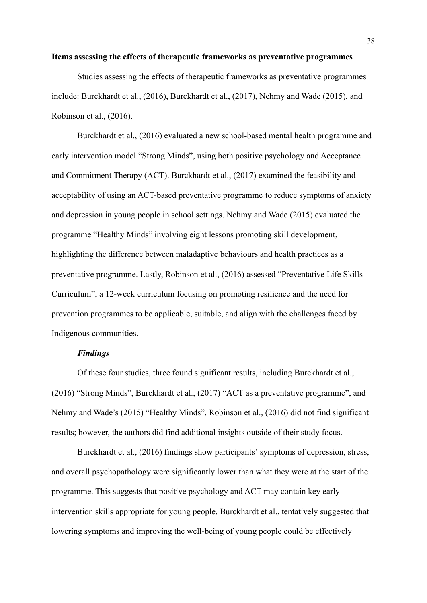#### **Items assessing the effects of therapeutic frameworks as preventative programmes**

Studies assessing the effects of therapeutic frameworks as preventative programmes include: Burckhardt et al., (2016), Burckhardt et al., (2017), Nehmy and Wade (2015), and Robinson et al., (2016).

Burckhardt et al., (2016) evaluated a new school-based mental health programme and early intervention model "Strong Minds", using both positive psychology and Acceptance and Commitment Therapy (ACT). Burckhardt et al., (2017) examined the feasibility and acceptability of using an ACT-based preventative programme to reduce symptoms of anxiety and depression in young people in school settings. Nehmy and Wade (2015) evaluated the programme "Healthy Minds" involving eight lessons promoting skill development, highlighting the difference between maladaptive behaviours and health practices as a preventative programme. Lastly, Robinson et al., (2016) assessed "Preventative Life Skills Curriculum", a 12-week curriculum focusing on promoting resilience and the need for prevention programmes to be applicable, suitable, and align with the challenges faced by Indigenous communities.

## *Findings*

Of these four studies, three found significant results, including Burckhardt et al., (2016) "Strong Minds", Burckhardt et al., (2017) "ACT as a preventative programme", and Nehmy and Wade's (2015) "Healthy Minds". Robinson et al., (2016) did not find significant results; however, the authors did find additional insights outside of their study focus.

Burckhardt et al., (2016) findings show participants' symptoms of depression, stress, and overall psychopathology were significantly lower than what they were at the start of the programme. This suggests that positive psychology and ACT may contain key early intervention skills appropriate for young people. Burckhardt et al., tentatively suggested that lowering symptoms and improving the well-being of young people could be effectively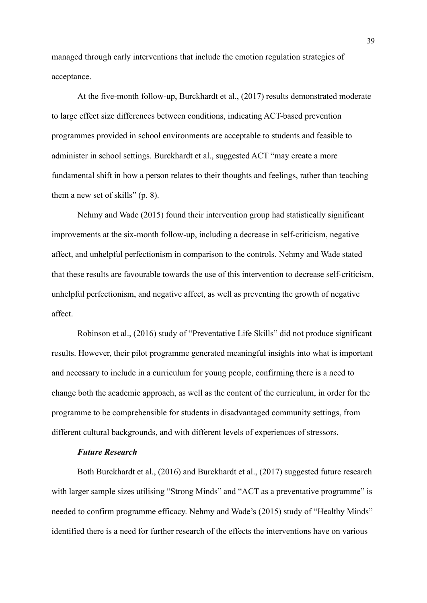managed through early interventions that include the emotion regulation strategies of acceptance.

At the five-month follow-up, Burckhardt et al., (2017) results demonstrated moderate to large effect size differences between conditions, indicating ACT-based prevention programmes provided in school environments are acceptable to students and feasible to administer in school settings. Burckhardt et al., suggested ACT "may create a more fundamental shift in how a person relates to their thoughts and feelings, rather than teaching them a new set of skills" (p. 8).

Nehmy and Wade (2015) found their intervention group had statistically significant improvements at the six-month follow-up, including a decrease in self-criticism, negative affect, and unhelpful perfectionism in comparison to the controls. Nehmy and Wade stated that these results are favourable towards the use of this intervention to decrease self-criticism, unhelpful perfectionism, and negative affect, as well as preventing the growth of negative affect.

Robinson et al., (2016) study of "Preventative Life Skills" did not produce significant results. However, their pilot programme generated meaningful insights into what is important and necessary to include in a curriculum for young people, confirming there is a need to change both the academic approach, as well as the content of the curriculum, in order for the programme to be comprehensible for students in disadvantaged community settings, from different cultural backgrounds, and with different levels of experiences of stressors.

# *Future Research*

Both Burckhardt et al., (2016) and Burckhardt et al., (2017) suggested future research with larger sample sizes utilising "Strong Minds" and "ACT as a preventative programme" is needed to confirm programme efficacy. Nehmy and Wade's (2015) study of "Healthy Minds" identified there is a need for further research of the effects the interventions have on various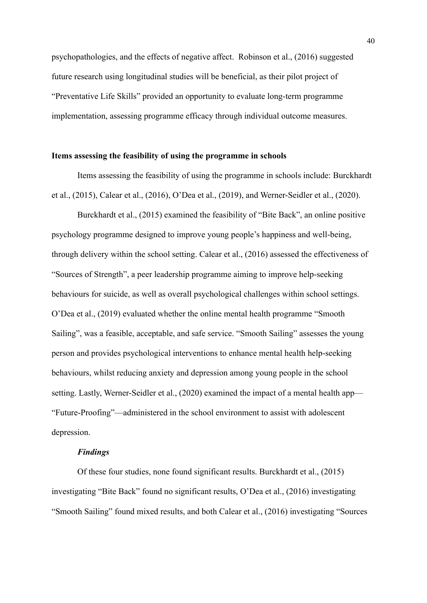psychopathologies, and the effects of negative affect. Robinson et al., (2016) suggested future research using longitudinal studies will be beneficial, as their pilot project of "Preventative Life Skills" provided an opportunity to evaluate long-term programme implementation, assessing programme efficacy through individual outcome measures.

### **Items assessing the feasibility of using the programme in schools**

Items assessing the feasibility of using the programme in schools include: Burckhardt et al., (2015), Calear et al., (2016), O'Dea et al., (2019), and Werner-Seidler et al., (2020).

Burckhardt et al., (2015) examined the feasibility of "Bite Back", an online positive psychology programme designed to improve young people's happiness and well-being, through delivery within the school setting. Calear et al., (2016) assessed the effectiveness of "Sources of Strength", a peer leadership programme aiming to improve help-seeking behaviours for suicide, as well as overall psychological challenges within school settings. O'Dea et al., (2019) evaluated whether the online mental health programme "Smooth Sailing", was a feasible, acceptable, and safe service. "Smooth Sailing" assesses the young person and provides psychological interventions to enhance mental health help-seeking behaviours, whilst reducing anxiety and depression among young people in the school setting. Lastly, Werner-Seidler et al., (2020) examined the impact of a mental health app— "Future-Proofing"—administered in the school environment to assist with adolescent depression.

### *Findings*

Of these four studies, none found significant results. Burckhardt et al., (2015) investigating "Bite Back" found no significant results, O'Dea et al., (2016) investigating "Smooth Sailing" found mixed results, and both Calear et al., (2016) investigating "Sources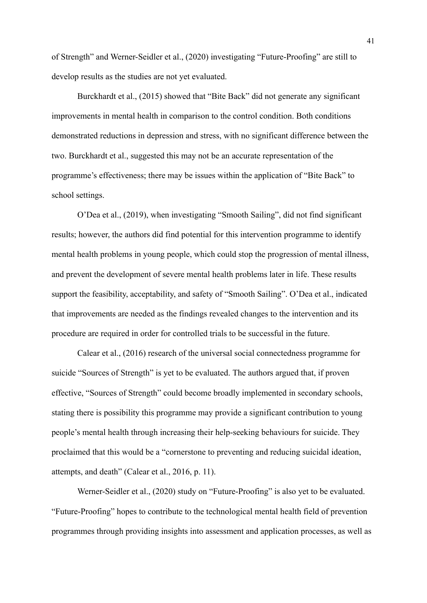of Strength" and Werner-Seidler et al., (2020) investigating "Future-Proofing" are still to develop results as the studies are not yet evaluated.

Burckhardt et al., (2015) showed that "Bite Back" did not generate any significant improvements in mental health in comparison to the control condition. Both conditions demonstrated reductions in depression and stress, with no significant difference between the two. Burckhardt et al., suggested this may not be an accurate representation of the programme's effectiveness; there may be issues within the application of "Bite Back" to school settings.

O'Dea et al., (2019), when investigating "Smooth Sailing", did not find significant results; however, the authors did find potential for this intervention programme to identify mental health problems in young people, which could stop the progression of mental illness, and prevent the development of severe mental health problems later in life. These results support the feasibility, acceptability, and safety of "Smooth Sailing". O'Dea et al., indicated that improvements are needed as the findings revealed changes to the intervention and its procedure are required in order for controlled trials to be successful in the future.

Calear et al., (2016) research of the universal social connectedness programme for suicide "Sources of Strength" is yet to be evaluated. The authors argued that, if proven effective, "Sources of Strength" could become broadly implemented in secondary schools, stating there is possibility this programme may provide a significant contribution to young people's mental health through increasing their help-seeking behaviours for suicide. They proclaimed that this would be a "cornerstone to preventing and reducing suicidal ideation, attempts, and death" (Calear et al., 2016, p. 11).

Werner-Seidler et al., (2020) study on "Future-Proofing" is also yet to be evaluated. "Future-Proofing" hopes to contribute to the technological mental health field of prevention programmes through providing insights into assessment and application processes, as well as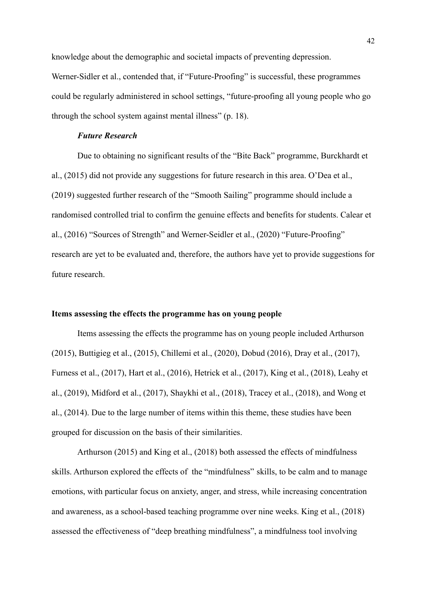knowledge about the demographic and societal impacts of preventing depression. Werner-Sidler et al., contended that, if "Future-Proofing" is successful, these programmes could be regularly administered in school settings, "future-proofing all young people who go through the school system against mental illness" (p. 18).

### *Future Research*

Due to obtaining no significant results of the "Bite Back" programme, Burckhardt et al., (2015) did not provide any suggestions for future research in this area. O'Dea et al., (2019) suggested further research of the "Smooth Sailing" programme should include a randomised controlled trial to confirm the genuine effects and benefits for students. Calear et al., (2016) "Sources of Strength" and Werner-Seidler et al., (2020) "Future-Proofing" research are yet to be evaluated and, therefore, the authors have yet to provide suggestions for future research.

### **Items assessing the effects the programme has on young people**

Items assessing the effects the programme has on young people included Arthurson (2015), Buttigieg et al., (2015), Chillemi et al., (2020), Dobud (2016), Dray et al., (2017), Furness et al., (2017), Hart et al., (2016), Hetrick et al., (2017), King et al., (2018), Leahy et al., (2019), Midford et al., (2017), Shaykhi et al., (2018), Tracey et al., (2018), and Wong et al., (2014). Due to the large number of items within this theme, these studies have been grouped for discussion on the basis of their similarities.

Arthurson (2015) and King et al., (2018) both assessed the effects of mindfulness skills. Arthurson explored the effects of the "mindfulness" skills, to be calm and to manage emotions, with particular focus on anxiety, anger, and stress, while increasing concentration and awareness, as a school-based teaching programme over nine weeks. King et al., (2018) assessed the effectiveness of "deep breathing mindfulness", a mindfulness tool involving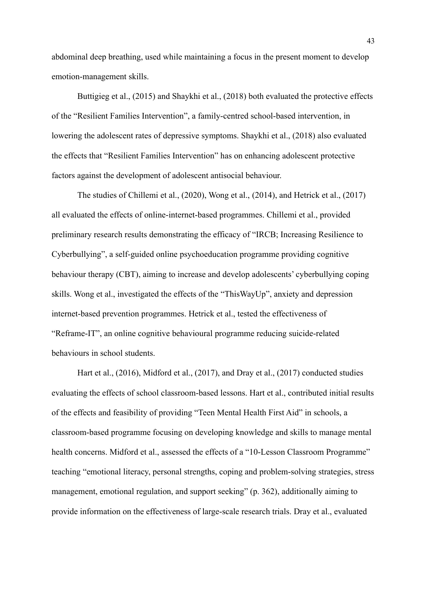abdominal deep breathing, used while maintaining a focus in the present moment to develop emotion-management skills.

Buttigieg et al., (2015) and Shaykhi et al., (2018) both evaluated the protective effects of the "Resilient Families Intervention", a family-centred school-based intervention, in lowering the adolescent rates of depressive symptoms. Shaykhi et al., (2018) also evaluated the effects that "Resilient Families Intervention" has on enhancing adolescent protective factors against the development of adolescent antisocial behaviour.

The studies of Chillemi et al., (2020), Wong et al., (2014), and Hetrick et al., (2017) all evaluated the effects of online-internet-based programmes. Chillemi et al., provided preliminary research results demonstrating the efficacy of "IRCB; Increasing Resilience to Cyberbullying", a self-guided online psychoeducation programme providing cognitive behaviour therapy (CBT), aiming to increase and develop adolescents' cyberbullying coping skills. Wong et al., investigated the effects of the "ThisWayUp", anxiety and depression internet-based prevention programmes. Hetrick et al., tested the effectiveness of "Reframe-IT", an online cognitive behavioural programme reducing suicide-related behaviours in school students.

Hart et al., (2016), Midford et al., (2017), and Dray et al., (2017) conducted studies evaluating the effects of school classroom-based lessons. Hart et al., contributed initial results of the effects and feasibility of providing "Teen Mental Health First Aid" in schools, a classroom-based programme focusing on developing knowledge and skills to manage mental health concerns. Midford et al., assessed the effects of a "10-Lesson Classroom Programme" teaching "emotional literacy, personal strengths, coping and problem-solving strategies, stress management, emotional regulation, and support seeking" (p. 362), additionally aiming to provide information on the effectiveness of large-scale research trials. Dray et al., evaluated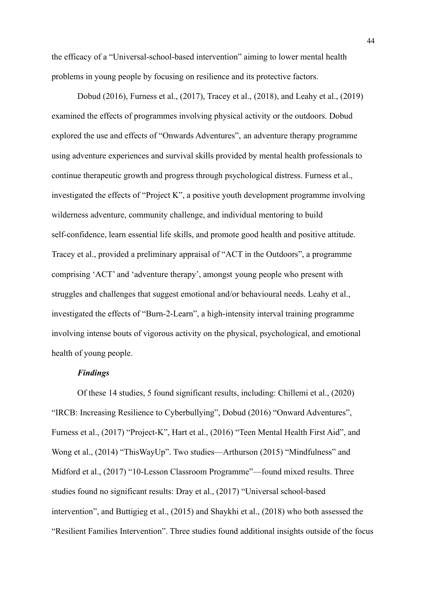the efficacy of a "Universal-school-based intervention" aiming to lower mental health problems in young people by focusing on resilience and its protective factors.

Dobud (2016), Furness et al., (2017), Tracey et al., (2018), and Leahy et al., (2019) examined the effects of programmes involving physical activity or the outdoors. Dobud explored the use and effects of "Onwards Adventures", an adventure therapy programme using adventure experiences and survival skills provided by mental health professionals to continue therapeutic growth and progress through psychological distress. Furness et al., investigated the effects of "Project K", a positive youth development programme involving wilderness adventure, community challenge, and individual mentoring to build self-confidence, learn essential life skills, and promote good health and positive attitude. Tracey et al., provided a preliminary appraisal of "ACT in the Outdoors", a programme comprising 'ACT' and 'adventure therapy', amongst young people who present with struggles and challenges that suggest emotional and/or behavioural needs. Leahy et al., investigated the effects of "Burn-2-Learn", a high-intensity interval training programme involving intense bouts of vigorous activity on the physical, psychological, and emotional health of young people.

# *Findings*

Of these 14 studies, 5 found significant results, including: Chillemi et al., (2020) "IRCB: Increasing Resilience to Cyberbullying", Dobud (2016) "Onward Adventures", Furness et al., (2017) "Project-K", Hart et al., (2016) "Teen Mental Health First Aid", and Wong et al., (2014) "ThisWayUp". Two studies—Arthurson (2015) "Mindfulness" and Midford et al., (2017) "10-Lesson Classroom Programme"—found mixed results. Three studies found no significant results: Dray et al., (2017) "Universal school-based intervention", and Buttigieg et al., (2015) and Shaykhi et al., (2018) who both assessed the "Resilient Families Intervention". Three studies found additional insights outside of the focus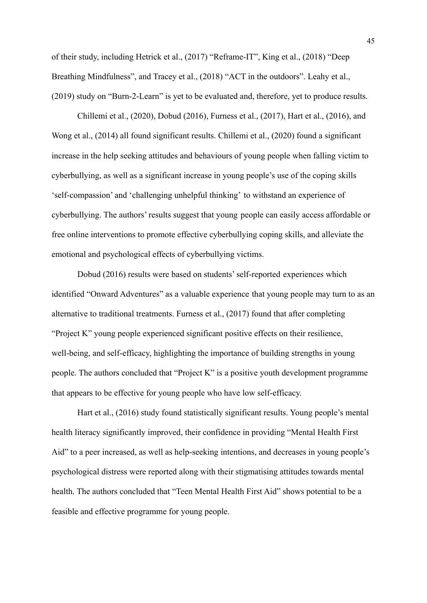of their study, including Hetrick et al., (2017) "Reframe-IT", King et al., (2018) "Deep Breathing Mindfulness", and Tracey et al., (2018) "ACT in the outdoors". Leahy et al., (2019) study on "Burn-2-Learn" is yet to be evaluated and, therefore, yet to produce results.

Chillemi et al., (2020), Dobud (2016), Furness et al., (2017), Hart et al., (2016), and Wong et al., (2014) all found significant results. Chillemi et al., (2020) found a significant increase in the help seeking attitudes and behaviours of young people when falling victim to cyberbullying, as well as a significant increase in young people's use of the coping skills 'self-compassion' and 'challenging unhelpful thinking' to withstand an experience of cyberbullying. The authors' results suggest that young people can easily access affordable or free online interventions to promote effective cyberbullying coping skills, and alleviate the emotional and psychological effects of cyberbullying victims.

Dobud (2016) results were based on students' self-reported experiences which identified "Onward Adventures" as a valuable experience that young people may turn to as an alternative to traditional treatments. Furness et al., (2017) found that after completing "Project K" young people experienced significant positive effects on their resilience, well-being, and self-efficacy, highlighting the importance of building strengths in young people. The authors concluded that "Project K" is a positive youth development programme that appears to be effective for young people who have low self-efficacy.

Hart et al., (2016) study found statistically significant results. Young people's mental health literacy significantly improved, their confidence in providing "Mental Health First Aid" to a peer increased, as well as help-seeking intentions, and decreases in young people's psychological distress were reported along with their stigmatising attitudes towards mental health. The authors concluded that "Teen Mental Health First Aid" shows potential to be a feasible and effective programme for young people.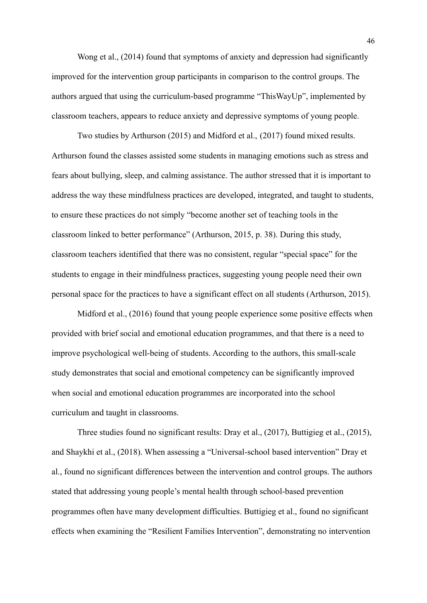Wong et al., (2014) found that symptoms of anxiety and depression had significantly improved for the intervention group participants in comparison to the control groups. The authors argued that using the curriculum-based programme "ThisWayUp", implemented by classroom teachers, appears to reduce anxiety and depressive symptoms of young people.

Two studies by Arthurson (2015) and Midford et al., (2017) found mixed results. Arthurson found the classes assisted some students in managing emotions such as stress and fears about bullying, sleep, and calming assistance. The author stressed that it is important to address the way these mindfulness practices are developed, integrated, and taught to students, to ensure these practices do not simply "become another set of teaching tools in the classroom linked to better performance" (Arthurson, 2015, p. 38). During this study, classroom teachers identified that there was no consistent, regular "special space" for the students to engage in their mindfulness practices, suggesting young people need their own personal space for the practices to have a significant effect on all students (Arthurson, 2015).

Midford et al., (2016) found that young people experience some positive effects when provided with brief social and emotional education programmes, and that there is a need to improve psychological well-being of students. According to the authors, this small-scale study demonstrates that social and emotional competency can be significantly improved when social and emotional education programmes are incorporated into the school curriculum and taught in classrooms.

Three studies found no significant results: Dray et al., (2017), Buttigieg et al., (2015), and Shaykhi et al., (2018). When assessing a "Universal-school based intervention" Dray et al., found no significant differences between the intervention and control groups. The authors stated that addressing young people's mental health through school-based prevention programmes often have many development difficulties. Buttigieg et al., found no significant effects when examining the "Resilient Families Intervention", demonstrating no intervention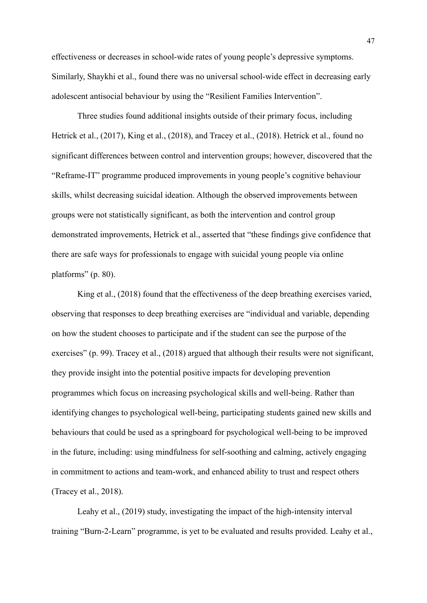effectiveness or decreases in school-wide rates of young people's depressive symptoms. Similarly, Shaykhi et al., found there was no universal school-wide effect in decreasing early adolescent antisocial behaviour by using the "Resilient Families Intervention".

Three studies found additional insights outside of their primary focus, including Hetrick et al., (2017), King et al., (2018), and Tracey et al., (2018). Hetrick et al., found no significant differences between control and intervention groups; however, discovered that the "Reframe-IT" programme produced improvements in young people's cognitive behaviour skills, whilst decreasing suicidal ideation. Although the observed improvements between groups were not statistically significant, as both the intervention and control group demonstrated improvements, Hetrick et al., asserted that "these findings give confidence that there are safe ways for professionals to engage with suicidal young people via online platforms" (p. 80).

King et al., (2018) found that the effectiveness of the deep breathing exercises varied, observing that responses to deep breathing exercises are "individual and variable, depending on how the student chooses to participate and if the student can see the purpose of the exercises" (p. 99). Tracey et al., (2018) argued that although their results were not significant, they provide insight into the potential positive impacts for developing prevention programmes which focus on increasing psychological skills and well-being. Rather than identifying changes to psychological well-being, participating students gained new skills and behaviours that could be used as a springboard for psychological well-being to be improved in the future, including: using mindfulness for self-soothing and calming, actively engaging in commitment to actions and team-work, and enhanced ability to trust and respect others (Tracey et al., 2018).

Leahy et al., (2019) study, investigating the impact of the high-intensity interval training "Burn-2-Learn" programme, is yet to be evaluated and results provided. Leahy et al.,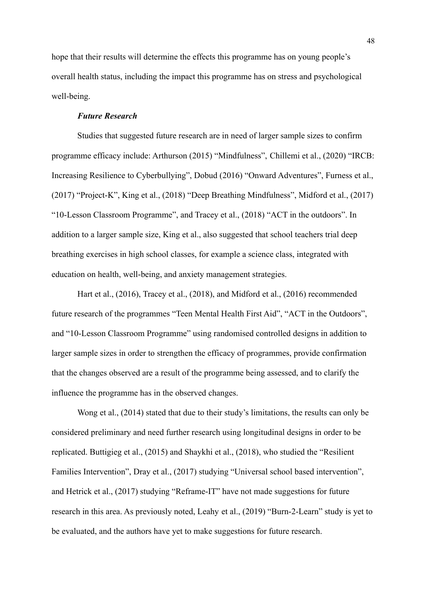hope that their results will determine the effects this programme has on young people's overall health status, including the impact this programme has on stress and psychological well-being.

# *Future Research*

Studies that suggested future research are in need of larger sample sizes to confirm programme efficacy include: Arthurson (2015) "Mindfulness", Chillemi et al., (2020) "IRCB: Increasing Resilience to Cyberbullying", Dobud (2016) "Onward Adventures", Furness et al., (2017) "Project-K", King et al., (2018) "Deep Breathing Mindfulness", Midford et al., (2017) "10-Lesson Classroom Programme", and Tracey et al., (2018) "ACT in the outdoors". In addition to a larger sample size, King et al., also suggested that school teachers trial deep breathing exercises in high school classes, for example a science class, integrated with education on health, well-being, and anxiety management strategies.

Hart et al., (2016), Tracey et al., (2018), and Midford et al., (2016) recommended future research of the programmes "Teen Mental Health First Aid", "ACT in the Outdoors", and "10-Lesson Classroom Programme" using randomised controlled designs in addition to larger sample sizes in order to strengthen the efficacy of programmes, provide confirmation that the changes observed are a result of the programme being assessed, and to clarify the influence the programme has in the observed changes.

Wong et al., (2014) stated that due to their study's limitations, the results can only be considered preliminary and need further research using longitudinal designs in order to be replicated. Buttigieg et al., (2015) and Shaykhi et al., (2018), who studied the "Resilient Families Intervention", Dray et al., (2017) studying "Universal school based intervention", and Hetrick et al., (2017) studying "Reframe-IT" have not made suggestions for future research in this area. As previously noted, Leahy et al., (2019) "Burn-2-Learn" study is yet to be evaluated, and the authors have yet to make suggestions for future research.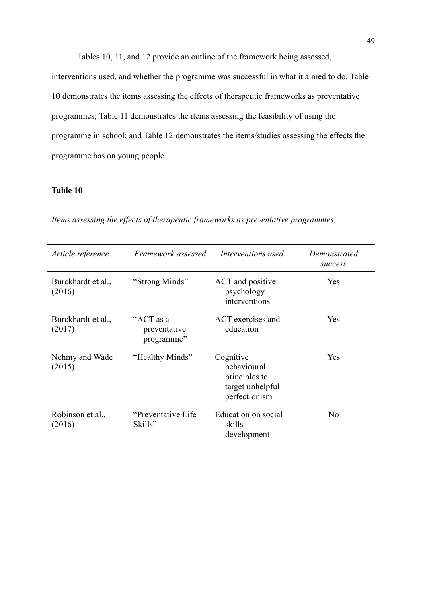Tables 10, 11, and 12 provide an outline of the framework being assessed, interventions used, and whether the programme was successful in what it aimed to do. Table 10 demonstrates the items assessing the effects of therapeutic frameworks as preventative programmes; Table 11 demonstrates the items assessing the feasibility of using the programme in school; and Table 12 demonstrates the items/studies assessing the effects the programme has on young people.

# **Table 10**

| Article reference            | Framework assessed                      | Interventions used                                                             | Demonstrated<br>success |
|------------------------------|-----------------------------------------|--------------------------------------------------------------------------------|-------------------------|
| Burckhardt et al.,<br>(2016) | "Strong Minds"                          | ACT and positive<br>psychology<br>interventions                                | Yes                     |
| Burckhardt et al.,<br>(2017) | "ACT as a<br>preventative<br>programme" | ACT exercises and<br>education                                                 | Yes                     |
| Nehmy and Wade<br>(2015)     | "Healthy Minds"                         | Cognitive<br>behavioural<br>principles to<br>target unhelpful<br>perfectionism | Yes                     |
| Robinson et al.,<br>(2016)   | "Preventative Life"<br>Skills"          | Education on social<br>skills<br>development                                   | N <sub>0</sub>          |

*Items assessing the effects of therapeutic frameworks as preventative programmes.*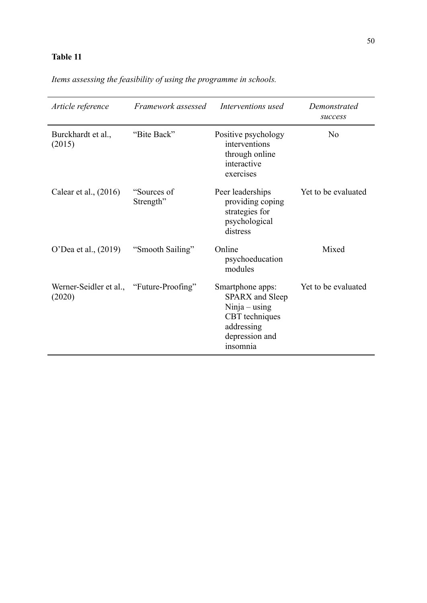# **Table 11**

*Items assessing the feasibility of using the programme in schools.*

| Article reference                                  | Framework assessed       | Interventions used                                                                                                        | Demonstrated<br>success |
|----------------------------------------------------|--------------------------|---------------------------------------------------------------------------------------------------------------------------|-------------------------|
| Burckhardt et al.,<br>(2015)                       | "Bite Back"              | Positive psychology<br>interventions<br>through online<br>interactive<br>exercises                                        | No                      |
| Calear et al., $(2016)$                            | "Sources of<br>Strength" | Peer leaderships<br>providing coping<br>strategies for<br>psychological<br>distress                                       | Yet to be evaluated     |
| O'Dea et al., (2019)                               | "Smooth Sailing"         | Online<br>psychoeducation<br>modules                                                                                      | Mixed                   |
| Werner-Seidler et al., "Future-Proofing"<br>(2020) |                          | Smartphone apps:<br><b>SPARX</b> and Sleep<br>Ninja – using<br>CBT techniques<br>addressing<br>depression and<br>insomnia | Yet to be evaluated     |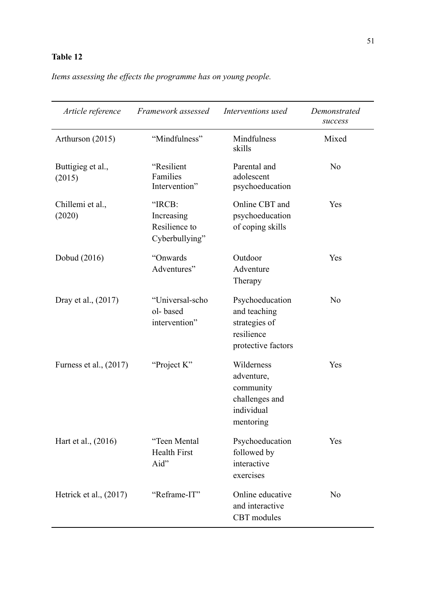# **Table 12**

*Items assessing the effects the programme has on young people.*

| Article reference           | Framework assessed                                      | Interventions used                                                                   | Demonstrated<br>success |
|-----------------------------|---------------------------------------------------------|--------------------------------------------------------------------------------------|-------------------------|
| Arthurson (2015)            | "Mindfulness"                                           | Mindfulness<br>skills                                                                | Mixed                   |
| Buttigieg et al.,<br>(2015) | "Resilient<br>Families<br>Intervention"                 | Parental and<br>adolescent<br>psychoeducation                                        | N <sub>0</sub>          |
| Chillemi et al.,<br>(2020)  | "IRCB:<br>Increasing<br>Resilience to<br>Cyberbullying" | Online CBT and<br>psychoeducation<br>of coping skills                                | Yes                     |
| Dobud (2016)                | "Onwards<br>Adventures"                                 | Outdoor<br>Adventure<br>Therapy                                                      | Yes                     |
| Dray et al., (2017)         | "Universal-scho<br>ol-based<br>intervention"            | Psychoeducation<br>and teaching<br>strategies of<br>resilience<br>protective factors | N <sub>0</sub>          |
| Furness et al., (2017)      | "Project K"                                             | Wilderness<br>adventure,<br>community<br>challenges and<br>individual<br>mentoring   | Yes                     |
| Hart et al., (2016)         | "Teen Mental<br><b>Health First</b><br>Aid"             | Psychoeducation<br>followed by<br>interactive<br>exercises                           | Yes                     |
| Hetrick et al., $(2017)$    | "Reframe-IT"                                            | Online educative<br>and interactive<br><b>CBT</b> modules                            | N <sub>0</sub>          |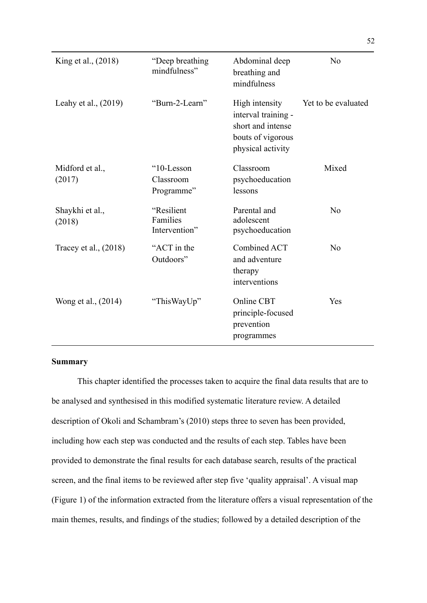| King et al., (2018)       | "Deep breathing"<br>mindfulness"        | Abdominal deep<br>breathing and<br>mindfulness                                                       | N <sub>0</sub>      |
|---------------------------|-----------------------------------------|------------------------------------------------------------------------------------------------------|---------------------|
| Leahy et al., $(2019)$    | "Burn-2-Learn"                          | High intensity<br>interval training -<br>short and intense<br>bouts of vigorous<br>physical activity | Yet to be evaluated |
| Midford et al.,<br>(2017) | "10-Lesson<br>Classroom<br>Programme"   | Classroom<br>psychoeducation<br>lessons                                                              | Mixed               |
| Shaykhi et al.,<br>(2018) | "Resilient<br>Families<br>Intervention" | Parental and<br>adolescent<br>psychoeducation                                                        | N <sub>0</sub>      |
| Tracey et al., (2018)     | "ACT in the<br>Outdoors"                | Combined ACT<br>and adventure<br>therapy<br>interventions                                            | No                  |
| Wong et al., (2014)       | "ThisWayUp"                             | Online CBT<br>principle-focused<br>prevention<br>programmes                                          | Yes                 |

# **Summary**

This chapter identified the processes taken to acquire the final data results that are to be analysed and synthesised in this modified systematic literature review. A detailed description of Okoli and Schambram's (2010) steps three to seven has been provided, including how each step was conducted and the results of each step. Tables have been provided to demonstrate the final results for each database search, results of the practical screen, and the final items to be reviewed after step five 'quality appraisal'. A visual map (Figure 1) of the information extracted from the literature offers a visual representation of the main themes, results, and findings of the studies; followed by a detailed description of the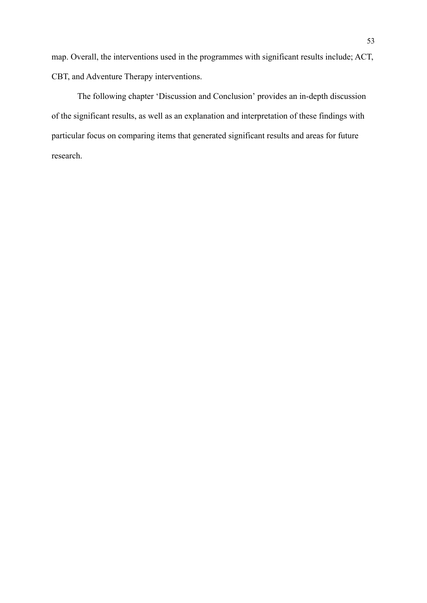map. Overall, the interventions used in the programmes with significant results include; ACT, CBT, and Adventure Therapy interventions.

The following chapter 'Discussion and Conclusion' provides an in-depth discussion of the significant results, as well as an explanation and interpretation of these findings with particular focus on comparing items that generated significant results and areas for future research.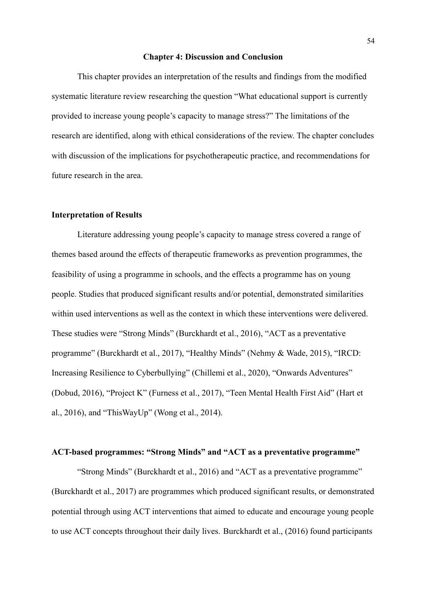#### **Chapter 4: Discussion and Conclusion**

This chapter provides an interpretation of the results and findings from the modified systematic literature review researching the question "What educational support is currently provided to increase young people's capacity to manage stress?" The limitations of the research are identified, along with ethical considerations of the review. The chapter concludes with discussion of the implications for psychotherapeutic practice, and recommendations for future research in the area.

### **Interpretation of Results**

Literature addressing young people's capacity to manage stress covered a range of themes based around the effects of therapeutic frameworks as prevention programmes, the feasibility of using a programme in schools, and the effects a programme has on young people. Studies that produced significant results and/or potential, demonstrated similarities within used interventions as well as the context in which these interventions were delivered. These studies were "Strong Minds" (Burckhardt et al., 2016), "ACT as a preventative programme" (Burckhardt et al., 2017), "Healthy Minds" (Nehmy & Wade, 2015), "IRCD: Increasing Resilience to Cyberbullying" (Chillemi et al., 2020), "Onwards Adventures" (Dobud, 2016), "Project K" (Furness et al., 2017), "Teen Mental Health First Aid" (Hart et al., 2016), and "ThisWayUp" (Wong et al., 2014).

# **ACT-based programmes: "Strong Minds" and "ACT as a preventative programme"**

"Strong Minds" (Burckhardt et al., 2016) and "ACT as a preventative programme" (Burckhardt et al., 2017) are programmes which produced significant results, or demonstrated potential through using ACT interventions that aimed to educate and encourage young people to use ACT concepts throughout their daily lives. Burckhardt et al., (2016) found participants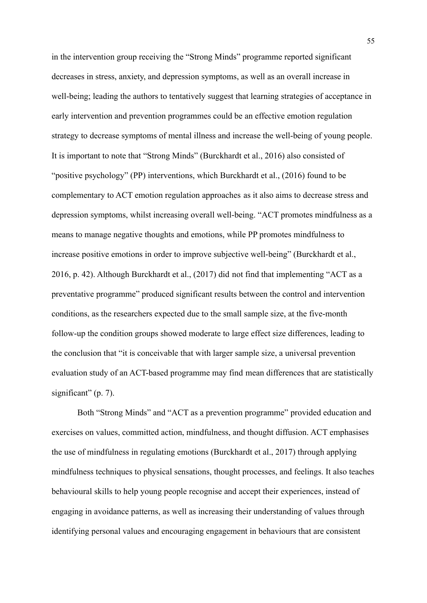in the intervention group receiving the "Strong Minds" programme reported significant decreases in stress, anxiety, and depression symptoms, as well as an overall increase in well-being; leading the authors to tentatively suggest that learning strategies of acceptance in early intervention and prevention programmes could be an effective emotion regulation strategy to decrease symptoms of mental illness and increase the well-being of young people. It is important to note that "Strong Minds" (Burckhardt et al., 2016) also consisted of "positive psychology" (PP) interventions, which Burckhardt et al., (2016) found to be complementary to ACT emotion regulation approaches as it also aims to decrease stress and depression symptoms, whilst increasing overall well-being. "ACT promotes mindfulness as a means to manage negative thoughts and emotions, while PP promotes mindfulness to increase positive emotions in order to improve subjective well-being" (Burckhardt et al., 2016, p. 42). Although Burckhardt et al., (2017) did not find that implementing "ACT as a preventative programme" produced significant results between the control and intervention conditions, as the researchers expected due to the small sample size, at the five-month follow-up the condition groups showed moderate to large effect size differences, leading to the conclusion that "it is conceivable that with larger sample size, a universal prevention evaluation study of an ACT-based programme may find mean differences that are statistically significant" (p. 7).

Both "Strong Minds" and "ACT as a prevention programme" provided education and exercises on values, committed action, mindfulness, and thought diffusion. ACT emphasises the use of mindfulness in regulating emotions (Burckhardt et al., 2017) through applying mindfulness techniques to physical sensations, thought processes, and feelings. It also teaches behavioural skills to help young people recognise and accept their experiences, instead of engaging in avoidance patterns, as well as increasing their understanding of values through identifying personal values and encouraging engagement in behaviours that are consistent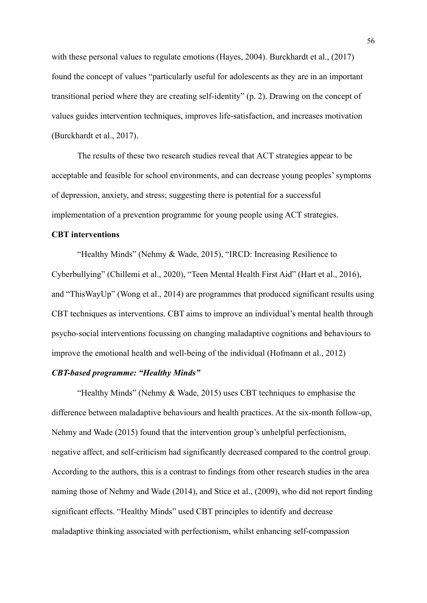with these personal values to regulate emotions (Hayes, 2004). Burckhardt et al., (2017) found the concept of values "particularly useful for adolescents as they are in an important transitional period where they are creating self-identity" (p. 2). Drawing on the concept of values guides intervention techniques, improves life-satisfaction, and increases motivation (Burckhardt et al., 2017).

The results of these two research studies reveal that ACT strategies appear to be acceptable and feasible for school environments, and can decrease young peoples' symptoms of depression, anxiety, and stress; suggesting there is potential for a successful implementation of a prevention programme for young people using ACT strategies.

### **CBT interventions**

"Healthy Minds" (Nehmy & Wade, 2015), "IRCD: Increasing Resilience to Cyberbullying" (Chillemi et al., 2020), "Teen Mental Health First Aid" (Hart et al., 2016), and "ThisWayUp" (Wong et al., 2014) are programmes that produced significant results using CBT techniques as interventions. CBT aims to improve an individual's mental health through psycho-social interventions focussing on changing maladaptive cognitions and behaviours to improve the emotional health and well-being of the individual (Hofmann et al., 2012)

# *CBT-based programme: "Healthy Minds"*

"Healthy Minds" (Nehmy & Wade, 2015) uses CBT techniques to emphasise the difference between maladaptive behaviours and health practices. At the six-month follow-up, Nehmy and Wade (2015) found that the intervention group's unhelpful perfectionism, negative affect, and self-criticism had significantly decreased compared to the control group. According to the authors, this is a contrast to findings from other research studies in the area naming those of Nehmy and Wade (2014), and Stice et al., (2009), who did not report finding significant effects. "Healthy Minds" used CBT principles to identify and decrease maladaptive thinking associated with perfectionism, whilst enhancing self-compassion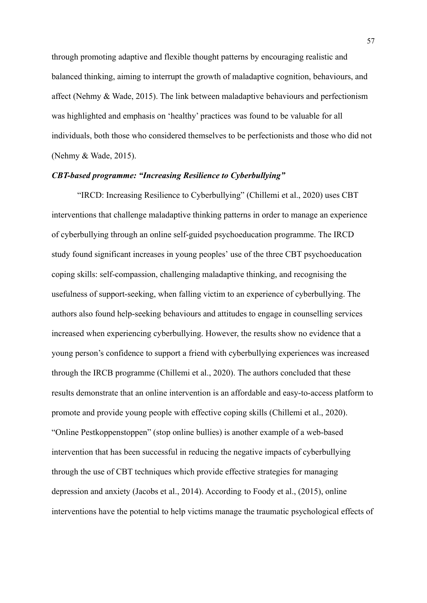through promoting adaptive and flexible thought patterns by encouraging realistic and balanced thinking, aiming to interrupt the growth of maladaptive cognition, behaviours, and affect (Nehmy & Wade, 2015). The link between maladaptive behaviours and perfectionism was highlighted and emphasis on 'healthy' practices was found to be valuable for all individuals, both those who considered themselves to be perfectionists and those who did not (Nehmy & Wade, 2015).

### *CBT-based programme: "Increasing Resilience to Cyberbullying"*

"IRCD: Increasing Resilience to Cyberbullying" (Chillemi et al., 2020) uses CBT interventions that challenge maladaptive thinking patterns in order to manage an experience of cyberbullying through an online self-guided psychoeducation programme. The IRCD study found significant increases in young peoples' use of the three CBT psychoeducation coping skills: self-compassion, challenging maladaptive thinking, and recognising the usefulness of support-seeking, when falling victim to an experience of cyberbullying. The authors also found help-seeking behaviours and attitudes to engage in counselling services increased when experiencing cyberbullying. However, the results show no evidence that a young person's confidence to support a friend with cyberbullying experiences was increased through the IRCB programme (Chillemi et al., 2020). The authors concluded that these results demonstrate that an online intervention is an affordable and easy-to-access platform to promote and provide young people with effective coping skills (Chillemi et al., 2020). "Online Pestkoppenstoppen" (stop online bullies) is another example of a web-based intervention that has been successful in reducing the negative impacts of cyberbullying through the use of CBT techniques which provide effective strategies for managing depression and anxiety (Jacobs et al., 2014). According to Foody et al., (2015), online interventions have the potential to help victims manage the traumatic psychological effects of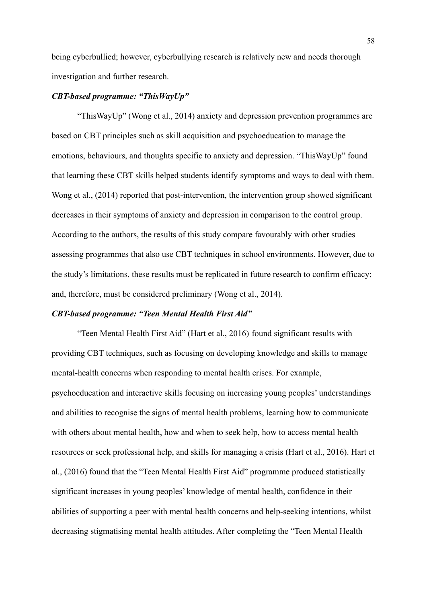being cyberbullied; however, cyberbullying research is relatively new and needs thorough investigation and further research.

# *CBT-based programme: "ThisWayUp"*

"ThisWayUp" (Wong et al., 2014) anxiety and depression prevention programmes are based on CBT principles such as skill acquisition and psychoeducation to manage the emotions, behaviours, and thoughts specific to anxiety and depression. "ThisWayUp" found that learning these CBT skills helped students identify symptoms and ways to deal with them. Wong et al., (2014) reported that post-intervention, the intervention group showed significant decreases in their symptoms of anxiety and depression in comparison to the control group. According to the authors, the results of this study compare favourably with other studies assessing programmes that also use CBT techniques in school environments. However, due to the study's limitations, these results must be replicated in future research to confirm efficacy; and, therefore, must be considered preliminary (Wong et al., 2014).

#### *CBT-based programme: "Teen Mental Health First Aid"*

"Teen Mental Health First Aid" (Hart et al., 2016) found significant results with providing CBT techniques, such as focusing on developing knowledge and skills to manage mental-health concerns when responding to mental health crises. For example, psychoeducation and interactive skills focusing on increasing young peoples' understandings and abilities to recognise the signs of mental health problems, learning how to communicate with others about mental health, how and when to seek help, how to access mental health resources or seek professional help, and skills for managing a crisis (Hart et al., 2016). Hart et al., (2016) found that the "Teen Mental Health First Aid" programme produced statistically significant increases in young peoples' knowledge of mental health, confidence in their abilities of supporting a peer with mental health concerns and help-seeking intentions, whilst decreasing stigmatising mental health attitudes. After completing the "Teen Mental Health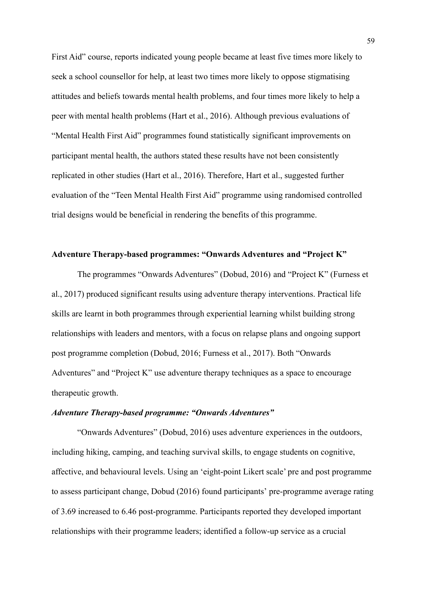First Aid" course, reports indicated young people became at least five times more likely to seek a school counsellor for help, at least two times more likely to oppose stigmatising attitudes and beliefs towards mental health problems, and four times more likely to help a peer with mental health problems (Hart et al., 2016). Although previous evaluations of "Mental Health First Aid" programmes found statistically significant improvements on participant mental health, the authors stated these results have not been consistently replicated in other studies (Hart et al., 2016). Therefore, Hart et al., suggested further evaluation of the "Teen Mental Health First Aid" programme using randomised controlled trial designs would be beneficial in rendering the benefits of this programme.

### **Adventure Therapy-based programmes: "Onwards Adventures and "Project K"**

The programmes "Onwards Adventures" (Dobud, 2016) and "Project K" (Furness et al., 2017) produced significant results using adventure therapy interventions. Practical life skills are learnt in both programmes through experiential learning whilst building strong relationships with leaders and mentors, with a focus on relapse plans and ongoing support post programme completion (Dobud, 2016; Furness et al., 2017). Both "Onwards Adventures" and "Project K" use adventure therapy techniques as a space to encourage therapeutic growth.

### *Adventure Therapy-based programme: "Onwards Adventures"*

"Onwards Adventures" (Dobud, 2016) uses adventure experiences in the outdoors, including hiking, camping, and teaching survival skills, to engage students on cognitive, affective, and behavioural levels. Using an 'eight-point Likert scale' pre and post programme to assess participant change, Dobud (2016) found participants' pre-programme average rating of 3.69 increased to 6.46 post-programme. Participants reported they developed important relationships with their programme leaders; identified a follow-up service as a crucial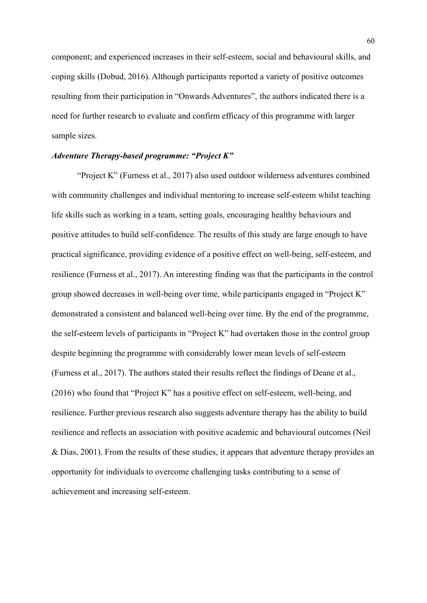component; and experienced increases in their self-esteem, social and behavioural skills, and coping skills (Dobud, 2016). Although participants reported a variety of positive outcomes resulting from their participation in "Onwards Adventures", the authors indicated there is a need for further research to evaluate and confirm efficacy of this programme with larger sample sizes.

# *Adventure Therapy-based programme: "Project K"*

"Project K" (Furness et al., 2017) also used outdoor wilderness adventures combined with community challenges and individual mentoring to increase self-esteem whilst teaching life skills such as working in a team, setting goals, encouraging healthy behaviours and positive attitudes to build self-confidence. The results of this study are large enough to have practical significance, providing evidence of a positive effect on well-being, self-esteem, and resilience (Furness et al., 2017). An interesting finding was that the participants in the control group showed decreases in well-being over time, while participants engaged in "Project K" demonstrated a consistent and balanced well-being over time. By the end of the programme, the self-esteem levels of participants in "Project K" had overtaken those in the control group despite beginning the programme with considerably lower mean levels of self-esteem (Furness et al., 2017). The authors stated their results reflect the findings of Deane et al., (2016) who found that "Project K" has a positive effect on self-esteem, well-being, and resilience. Further previous research also suggests adventure therapy has the ability to build resilience and reflects an association with positive academic and behavioural outcomes (Neil & Dias, 2001). From the results of these studies, it appears that adventure therapy provides an opportunity for individuals to overcome challenging tasks contributing to a sense of achievement and increasing self-esteem.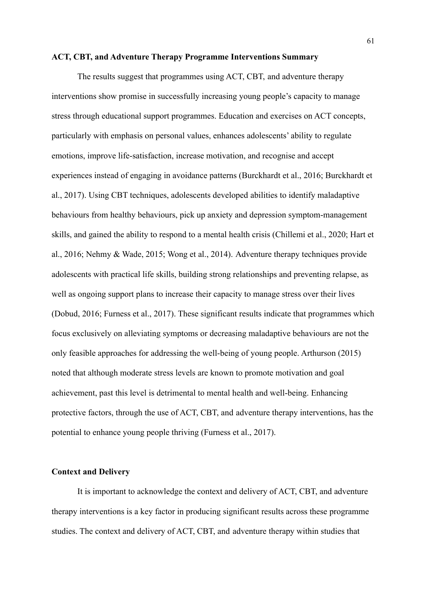#### **ACT, CBT, and Adventure Therapy Programme Interventions Summary**

The results suggest that programmes using ACT, CBT, and adventure therapy interventions show promise in successfully increasing young people's capacity to manage stress through educational support programmes. Education and exercises on ACT concepts, particularly with emphasis on personal values, enhances adolescents' ability to regulate emotions, improve life-satisfaction, increase motivation, and recognise and accept experiences instead of engaging in avoidance patterns (Burckhardt et al., 2016; Burckhardt et al., 2017). Using CBT techniques, adolescents developed abilities to identify maladaptive behaviours from healthy behaviours, pick up anxiety and depression symptom-management skills, and gained the ability to respond to a mental health crisis (Chillemi et al., 2020; Hart et al., 2016; Nehmy & Wade, 2015; Wong et al., 2014). Adventure therapy techniques provide adolescents with practical life skills, building strong relationships and preventing relapse, as well as ongoing support plans to increase their capacity to manage stress over their lives (Dobud, 2016; Furness et al., 2017). These significant results indicate that programmes which focus exclusively on alleviating symptoms or decreasing maladaptive behaviours are not the only feasible approaches for addressing the well-being of young people. Arthurson (2015) noted that although moderate stress levels are known to promote motivation and goal achievement, past this level is detrimental to mental health and well-being. Enhancing protective factors, through the use of ACT, CBT, and adventure therapy interventions, has the potential to enhance young people thriving (Furness et al., 2017).

### **Context and Delivery**

It is important to acknowledge the context and delivery of ACT, CBT, and adventure therapy interventions is a key factor in producing significant results across these programme studies. The context and delivery of ACT, CBT, and adventure therapy within studies that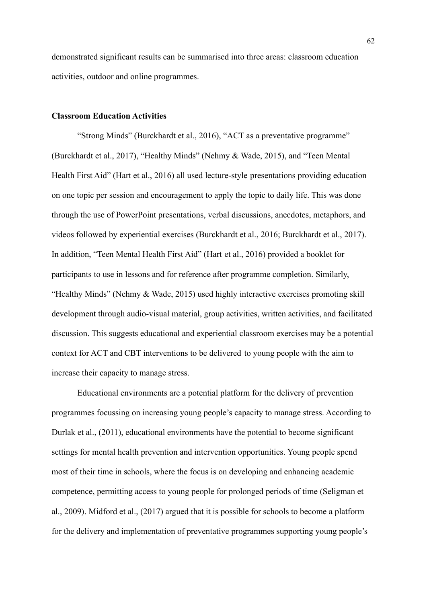demonstrated significant results can be summarised into three areas: classroom education activities, outdoor and online programmes.

# **Classroom Education Activities**

"Strong Minds" (Burckhardt et al., 2016), "ACT as a preventative programme" (Burckhardt et al., 2017), "Healthy Minds" (Nehmy & Wade, 2015), and "Teen Mental Health First Aid" (Hart et al., 2016) all used lecture-style presentations providing education on one topic per session and encouragement to apply the topic to daily life. This was done through the use of PowerPoint presentations, verbal discussions, anecdotes, metaphors, and videos followed by experiential exercises (Burckhardt et al., 2016; Burckhardt et al., 2017). In addition, "Teen Mental Health First Aid" (Hart et al., 2016) provided a booklet for participants to use in lessons and for reference after programme completion. Similarly, "Healthy Minds" (Nehmy & Wade, 2015) used highly interactive exercises promoting skill development through audio-visual material, group activities, written activities, and facilitated discussion. This suggests educational and experiential classroom exercises may be a potential context for ACT and CBT interventions to be delivered to young people with the aim to increase their capacity to manage stress.

Educational environments are a potential platform for the delivery of prevention programmes focussing on increasing young people's capacity to manage stress. According to Durlak et al., (2011), educational environments have the potential to become significant settings for mental health prevention and intervention opportunities. Young people spend most of their time in schools, where the focus is on developing and enhancing academic competence, permitting access to young people for prolonged periods of time (Seligman et al., 2009). Midford et al., (2017) argued that it is possible for schools to become a platform for the delivery and implementation of preventative programmes supporting young people's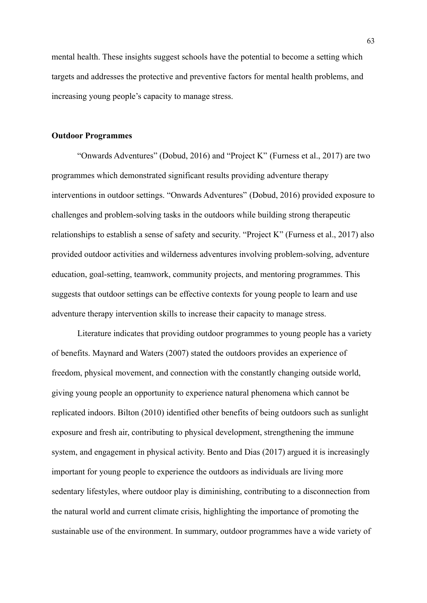mental health. These insights suggest schools have the potential to become a setting which targets and addresses the protective and preventive factors for mental health problems, and increasing young people's capacity to manage stress.

### **Outdoor Programmes**

"Onwards Adventures" (Dobud, 2016) and "Project K" (Furness et al., 2017) are two programmes which demonstrated significant results providing adventure therapy interventions in outdoor settings. "Onwards Adventures" (Dobud, 2016) provided exposure to challenges and problem-solving tasks in the outdoors while building strong therapeutic relationships to establish a sense of safety and security. "Project K" (Furness et al., 2017) also provided outdoor activities and wilderness adventures involving problem-solving, adventure education, goal-setting, teamwork, community projects, and mentoring programmes. This suggests that outdoor settings can be effective contexts for young people to learn and use adventure therapy intervention skills to increase their capacity to manage stress.

Literature indicates that providing outdoor programmes to young people has a variety of benefits. Maynard and Waters (2007) stated the outdoors provides an experience of freedom, physical movement, and connection with the constantly changing outside world, giving young people an opportunity to experience natural phenomena which cannot be replicated indoors. Bilton (2010) identified other benefits of being outdoors such as sunlight exposure and fresh air, contributing to physical development, strengthening the immune system, and engagement in physical activity. Bento and Dias (2017) argued it is increasingly important for young people to experience the outdoors as individuals are living more sedentary lifestyles, where outdoor play is diminishing, contributing to a disconnection from the natural world and current climate crisis, highlighting the importance of promoting the sustainable use of the environment. In summary, outdoor programmes have a wide variety of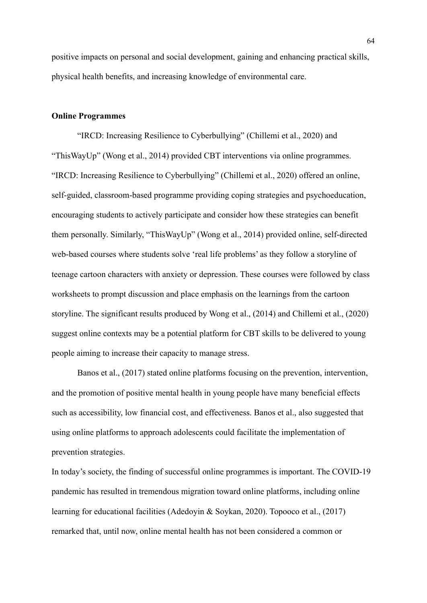positive impacts on personal and social development, gaining and enhancing practical skills, physical health benefits, and increasing knowledge of environmental care.

# **Online Programmes**

"IRCD: Increasing Resilience to Cyberbullying" (Chillemi et al., 2020) and "ThisWayUp" (Wong et al., 2014) provided CBT interventions via online programmes. "IRCD: Increasing Resilience to Cyberbullying" (Chillemi et al., 2020) offered an online, self-guided, classroom-based programme providing coping strategies and psychoeducation, encouraging students to actively participate and consider how these strategies can benefit them personally. Similarly, "ThisWayUp" (Wong et al., 2014) provided online, self-directed web-based courses where students solve 'real life problems' as they follow a storyline of teenage cartoon characters with anxiety or depression. These courses were followed by class worksheets to prompt discussion and place emphasis on the learnings from the cartoon storyline. The significant results produced by Wong et al., (2014) and Chillemi et al., (2020) suggest online contexts may be a potential platform for CBT skills to be delivered to young people aiming to increase their capacity to manage stress.

Banos et al., (2017) stated online platforms focusing on the prevention, intervention, and the promotion of positive mental health in young people have many beneficial effects such as accessibility, low financial cost, and effectiveness. Banos et al., also suggested that using online platforms to approach adolescents could facilitate the implementation of prevention strategies.

In today's society, the finding of successful online programmes is important. The COVID-19 pandemic has resulted in tremendous migration toward online platforms, including online learning for educational facilities (Adedoyin & Soykan, 2020). Topooco et al., (2017) remarked that, until now, online mental health has not been considered a common or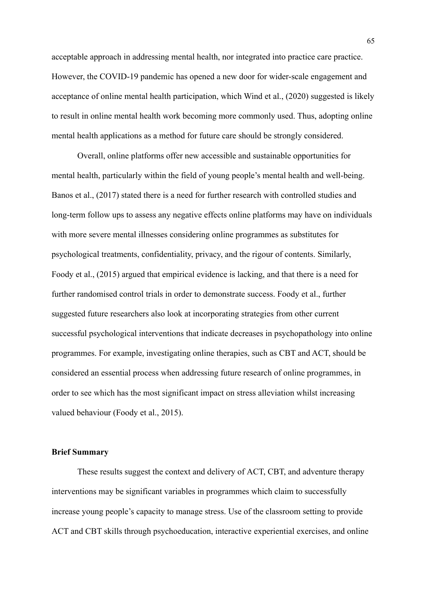acceptable approach in addressing mental health, nor integrated into practice care practice. However, the COVID-19 pandemic has opened a new door for wider-scale engagement and acceptance of online mental health participation, which Wind et al., (2020) suggested is likely to result in online mental health work becoming more commonly used. Thus, adopting online mental health applications as a method for future care should be strongly considered.

Overall, online platforms offer new accessible and sustainable opportunities for mental health, particularly within the field of young people's mental health and well-being. Banos et al., (2017) stated there is a need for further research with controlled studies and long-term follow ups to assess any negative effects online platforms may have on individuals with more severe mental illnesses considering online programmes as substitutes for psychological treatments, confidentiality, privacy, and the rigour of contents. Similarly, Foody et al., (2015) argued that empirical evidence is lacking, and that there is a need for further randomised control trials in order to demonstrate success. Foody et al., further suggested future researchers also look at incorporating strategies from other current successful psychological interventions that indicate decreases in psychopathology into online programmes. For example, investigating online therapies, such as CBT and ACT, should be considered an essential process when addressing future research of online programmes, in order to see which has the most significant impact on stress alleviation whilst increasing valued behaviour (Foody et al., 2015).

### **Brief Summary**

These results suggest the context and delivery of ACT, CBT, and adventure therapy interventions may be significant variables in programmes which claim to successfully increase young people's capacity to manage stress. Use of the classroom setting to provide ACT and CBT skills through psychoeducation, interactive experiential exercises, and online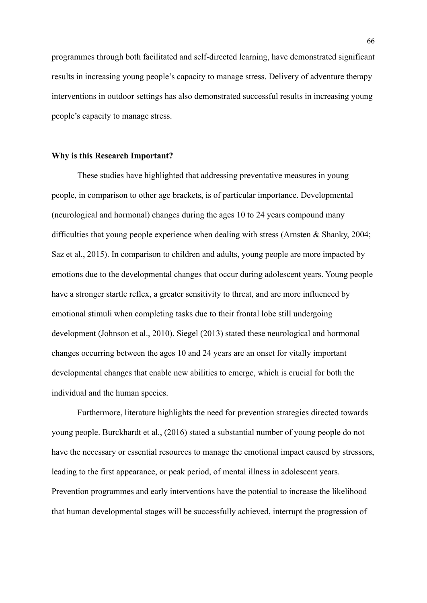programmes through both facilitated and self-directed learning, have demonstrated significant results in increasing young people's capacity to manage stress. Delivery of adventure therapy interventions in outdoor settings has also demonstrated successful results in increasing young people's capacity to manage stress.

### **Why is this Research Important?**

These studies have highlighted that addressing preventative measures in young people, in comparison to other age brackets, is of particular importance. Developmental (neurological and hormonal) changes during the ages 10 to 24 years compound many difficulties that young people experience when dealing with stress (Arnsten & Shanky, 2004; Saz et al., 2015). In comparison to children and adults, young people are more impacted by emotions due to the developmental changes that occur during adolescent years. Young people have a stronger startle reflex, a greater sensitivity to threat, and are more influenced by emotional stimuli when completing tasks due to their frontal lobe still undergoing development (Johnson et al., 2010). Siegel (2013) stated these neurological and hormonal changes occurring between the ages 10 and 24 years are an onset for vitally important developmental changes that enable new abilities to emerge, which is crucial for both the individual and the human species.

Furthermore, literature highlights the need for prevention strategies directed towards young people. Burckhardt et al., (2016) stated a substantial number of young people do not have the necessary or essential resources to manage the emotional impact caused by stressors, leading to the first appearance, or peak period, of mental illness in adolescent years. Prevention programmes and early interventions have the potential to increase the likelihood that human developmental stages will be successfully achieved, interrupt the progression of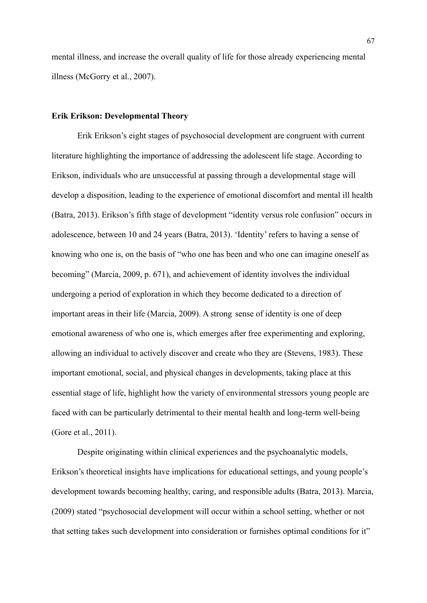mental illness, and increase the overall quality of life for those already experiencing mental illness (McGorry et al., 2007).

### **Erik Erikson: Developmental Theory**

Erik Erikson's eight stages of psychosocial development are congruent with current literature highlighting the importance of addressing the adolescent life stage. According to Erikson, individuals who are unsuccessful at passing through a developmental stage will develop a disposition, leading to the experience of emotional discomfort and mental ill health (Batra, 2013). Erikson's fifth stage of development "identity versus role confusion" occurs in adolescence, between 10 and 24 years (Batra, 2013). 'Identity' refers to having a sense of knowing who one is, on the basis of "who one has been and who one can imagine oneself as becoming" (Marcia, 2009, p. 671), and achievement of identity involves the individual undergoing a period of exploration in which they become dedicated to a direction of important areas in their life (Marcia, 2009). A strong sense of identity is one of deep emotional awareness of who one is, which emerges after free experimenting and exploring, allowing an individual to actively discover and create who they are (Stevens, 1983). These important emotional, social, and physical changes in developments, taking place at this essential stage of life, highlight how the variety of environmental stressors young people are faced with can be particularly detrimental to their mental health and long-term well-being (Gore et al., 2011).

Despite originating within clinical experiences and the psychoanalytic models, Erikson's theoretical insights have implications for educational settings, and young people's development towards becoming healthy, caring, and responsible adults (Batra, 2013). Marcia, (2009) stated "psychosocial development will occur within a school setting, whether or not that setting takes such development into consideration or furnishes optimal conditions for it"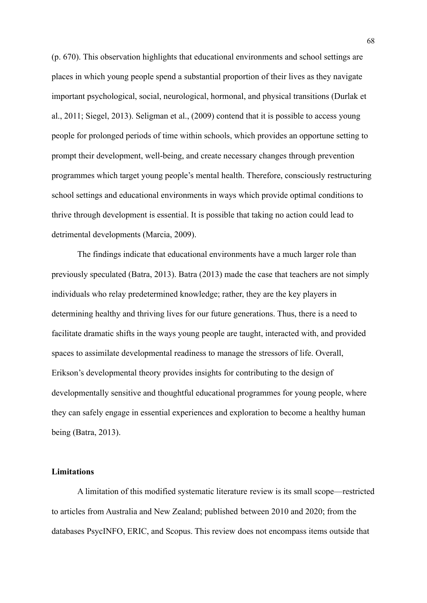(p. 670). This observation highlights that educational environments and school settings are places in which young people spend a substantial proportion of their lives as they navigate important psychological, social, neurological, hormonal, and physical transitions (Durlak et al., 2011; Siegel, 2013). Seligman et al., (2009) contend that it is possible to access young people for prolonged periods of time within schools, which provides an opportune setting to prompt their development, well-being, and create necessary changes through prevention programmes which target young people's mental health. Therefore, consciously restructuring school settings and educational environments in ways which provide optimal conditions to thrive through development is essential. It is possible that taking no action could lead to detrimental developments (Marcia, 2009).

The findings indicate that educational environments have a much larger role than previously speculated (Batra, 2013). Batra (2013) made the case that teachers are not simply individuals who relay predetermined knowledge; rather, they are the key players in determining healthy and thriving lives for our future generations. Thus, there is a need to facilitate dramatic shifts in the ways young people are taught, interacted with, and provided spaces to assimilate developmental readiness to manage the stressors of life. Overall, Erikson's developmental theory provides insights for contributing to the design of developmentally sensitive and thoughtful educational programmes for young people, where they can safely engage in essential experiences and exploration to become a healthy human being (Batra, 2013).

### **Limitations**

A limitation of this modified systematic literature review is its small scope—restricted to articles from Australia and New Zealand; published between 2010 and 2020; from the databases PsycINFO, ERIC, and Scopus. This review does not encompass items outside that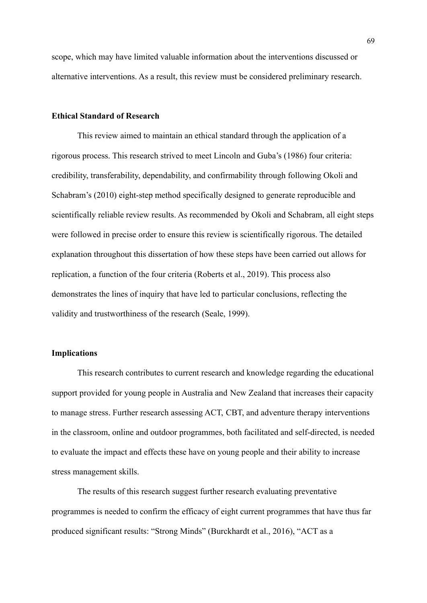scope, which may have limited valuable information about the interventions discussed or alternative interventions. As a result, this review must be considered preliminary research.

# **Ethical Standard of Research**

This review aimed to maintain an ethical standard through the application of a rigorous process. This research strived to meet Lincoln and Guba's (1986) four criteria: credibility, transferability, dependability, and confirmability through following Okoli and Schabram's (2010) eight-step method specifically designed to generate reproducible and scientifically reliable review results. As recommended by Okoli and Schabram, all eight steps were followed in precise order to ensure this review is scientifically rigorous. The detailed explanation throughout this dissertation of how these steps have been carried out allows for replication, a function of the four criteria (Roberts et al., 2019). This process also demonstrates the lines of inquiry that have led to particular conclusions, reflecting the validity and trustworthiness of the research (Seale, 1999).

## **Implications**

This research contributes to current research and knowledge regarding the educational support provided for young people in Australia and New Zealand that increases their capacity to manage stress. Further research assessing ACT, CBT, and adventure therapy interventions in the classroom, online and outdoor programmes, both facilitated and self-directed, is needed to evaluate the impact and effects these have on young people and their ability to increase stress management skills.

The results of this research suggest further research evaluating preventative programmes is needed to confirm the efficacy of eight current programmes that have thus far produced significant results: "Strong Minds" (Burckhardt et al., 2016), "ACT as a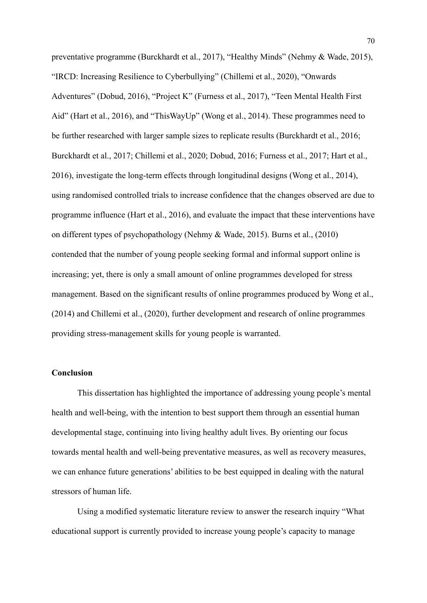preventative programme (Burckhardt et al., 2017), "Healthy Minds" (Nehmy & Wade, 2015), "IRCD: Increasing Resilience to Cyberbullying" (Chillemi et al., 2020), "Onwards Adventures" (Dobud, 2016), "Project K" (Furness et al., 2017), "Teen Mental Health First Aid" (Hart et al., 2016), and "ThisWayUp" (Wong et al., 2014). These programmes need to be further researched with larger sample sizes to replicate results (Burckhardt et al., 2016; Burckhardt et al., 2017; Chillemi et al., 2020; Dobud, 2016; Furness et al., 2017; Hart et al., 2016), investigate the long-term effects through longitudinal designs (Wong et al., 2014), using randomised controlled trials to increase confidence that the changes observed are due to programme influence (Hart et al., 2016), and evaluate the impact that these interventions have on different types of psychopathology (Nehmy & Wade, 2015). Burns et al., (2010) contended that the number of young people seeking formal and informal support online is increasing; yet, there is only a small amount of online programmes developed for stress management. Based on the significant results of online programmes produced by Wong et al., (2014) and Chillemi et al., (2020), further development and research of online programmes providing stress-management skills for young people is warranted.

# **Conclusion**

This dissertation has highlighted the importance of addressing young people's mental health and well-being, with the intention to best support them through an essential human developmental stage, continuing into living healthy adult lives. By orienting our focus towards mental health and well-being preventative measures, as well as recovery measures, we can enhance future generations' abilities to be best equipped in dealing with the natural stressors of human life.

Using a modified systematic literature review to answer the research inquiry "What educational support is currently provided to increase young people's capacity to manage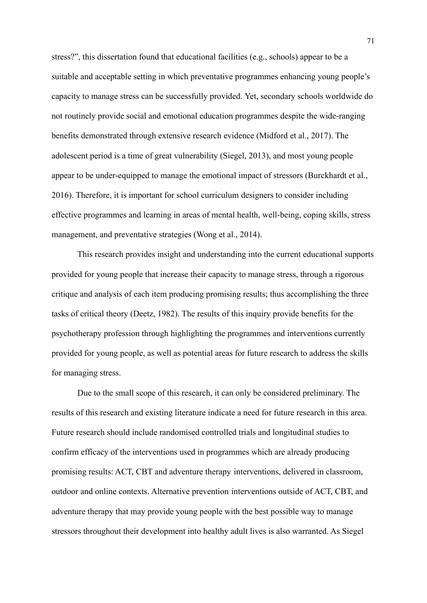stress?", this dissertation found that educational facilities (e.g., schools) appear to be a suitable and acceptable setting in which preventative programmes enhancing young people's capacity to manage stress can be successfully provided. Yet, secondary schools worldwide do not routinely provide social and emotional education programmes despite the wide-ranging benefits demonstrated through extensive research evidence (Midford et al., 2017). The adolescent period is a time of great vulnerability (Siegel, 2013), and most young people appear to be under-equipped to manage the emotional impact of stressors (Burckhardt et al., 2016). Therefore, it is important for school curriculum designers to consider including effective programmes and learning in areas of mental health, well-being, coping skills, stress management, and preventative strategies (Wong et al., 2014).

This research provides insight and understanding into the current educational supports provided for young people that increase their capacity to manage stress, through a rigorous critique and analysis of each item producing promising results; thus accomplishing the three tasks of critical theory (Deetz, 1982). The results of this inquiry provide benefits for the psychotherapy profession through highlighting the programmes and interventions currently provided for young people, as well as potential areas for future research to address the skills for managing stress.

Due to the small scope of this research, it can only be considered preliminary. The results of this research and existing literature indicate a need for future research in this area. Future research should include randomised controlled trials and longitudinal studies to confirm efficacy of the interventions used in programmes which are already producing promising results: ACT, CBT and adventure therapy interventions, delivered in classroom, outdoor and online contexts. Alternative prevention interventions outside of ACT, CBT, and adventure therapy that may provide young people with the best possible way to manage stressors throughout their development into healthy adult lives is also warranted. As Siegel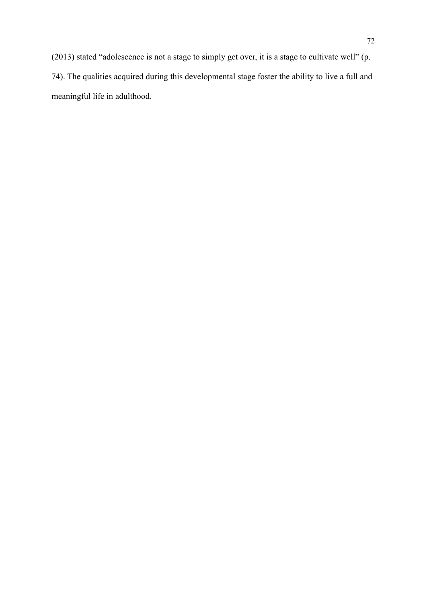(2013) stated "adolescence is not a stage to simply get over, it is a stage to cultivate well" (p. 74). The qualities acquired during this developmental stage foster the ability to live a full and meaningful life in adulthood.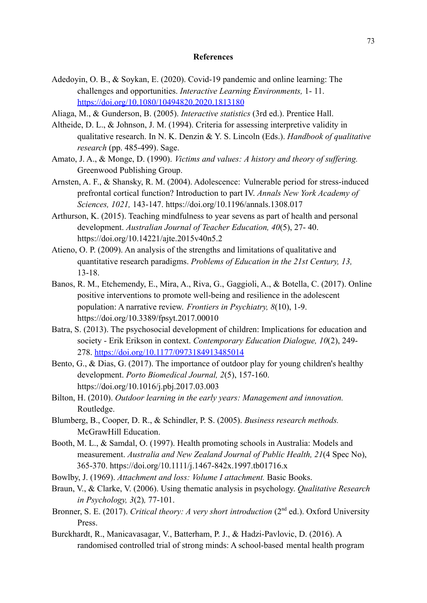## **References**

- Adedoyin, O. B., & Soykan, E. (2020). Covid-19 pandemic and online learning: The challenges and opportunities. *Interactive Learning Environments,* 1- 11. <https://doi.org/10.1080/10494820.2020.1813180>
- Aliaga, M., & Gunderson, B. (2005). *Interactive statistics* (3rd ed.). Prentice Hall.
- Altheide, D. L., & Johnson, J. M. (1994). Criteria for assessing interpretive validity in qualitative research. In N. K. Denzin & Y. S. Lincoln (Eds.). *Handbook of qualitative research* (pp. 485-499). Sage.
- Amato, J. A., & Monge, D. (1990). *Victims and values: A history and theory of suffering.* Greenwood Publishing Group.
- Arnsten, A. F., & Shansky, R. M. (2004). Adolescence: Vulnerable period for stress-induced prefrontal cortical function? Introduction to part IV. *Annals New York Academy of Sciences, 1021,* 143-147. https://doi.org/10.1196/annals.1308.017
- Arthurson, K. (2015). Teaching mindfulness to year sevens as part of health and personal development. *Australian Journal of Teacher Education, 40*(5), 27- 40. https://doi.org/10.14221/ajte.2015v40n5.2
- Atieno, O. P. (2009). An analysis of the strengths and limitations of qualitative and quantitative research paradigms. *Problems of Education in the 21st Century, 13,* 13-18.
- Banos, R. M., Etchemendy, E., Mira, A., Riva, G., Gaggioli, A., & Botella, C. (2017). Online positive interventions to promote well-being and resilience in the adolescent population: A narrative review. *Frontiers in Psychiatry, 8*(10), 1-9. https://doi.org/10.3389/fpsyt.2017.00010
- Batra, S. (2013). The psychosocial development of children: Implications for education and society - Erik Erikson in context. *Contemporary Education Dialogue, 10*(2), 249- 278. [https://doi.org/10.1177/0973184913485014](https://doi.org/10.1177%2F0973184913485014)
- Bento, G., & Dias, G. (2017). The importance of outdoor play for young children's healthy development. *Porto Biomedical Journal, 2*(5), 157-160. https://doi.org/10.1016/j.pbj.2017.03.003
- Bilton, H. (2010). *Outdoor learning in the early years: Management and innovation.* Routledge.
- Blumberg, B., Cooper, D. R., & Schindler, P. S. (2005). *Business research methods.* McGrawHill Education.
- Booth, M. L., & Samdal, O. (1997). Health promoting schools in Australia: Models and measurement. *Australia and New Zealand Journal of Public Health, 21*(4 Spec No), 365-370. https://doi.org/10.1111/j.1467-842x.1997.tb01716.x
- Bowlby, J. (1969). *Attachment and loss: Volume I attachment.* Basic Books.
- Braun, V., & Clarke, V. (2006). Using thematic analysis in psychology. *Qualitative Research in Psychology, 3*(2)*,* 77-101.
- Bronner, S. E. (2017). *Critical theory: A very short introduction* (2<sup>nd</sup> ed.). Oxford University Press.
- Burckhardt, R., Manicavasagar, V., Batterham, P. J., & Hadzi-Pavlovic, D. (2016). A randomised controlled trial of strong minds: A school-based mental health program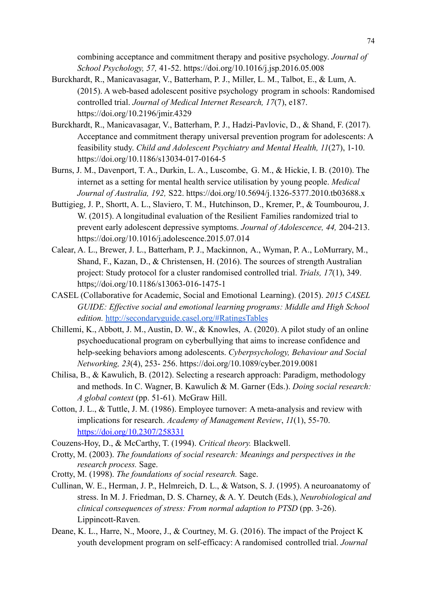combining acceptance and commitment therapy and positive psychology. *Journal of School Psychology, 57,* 41-52. https://doi.org/10.1016/j.jsp.2016.05.008

- Burckhardt, R., Manicavasagar, V., Batterham, P. J., Miller, L. M., Talbot, E., & Lum, A. (2015). A web-based adolescent positive psychology program in schools: Randomised controlled trial. *Journal of Medical Internet Research, 17*(7), e187. https://doi.org/10.2196/jmir.4329
- Burckhardt, R., Manicavasagar, V., Batterham, P. J., Hadzi-Pavlovic, D., & Shand, F. (2017). Acceptance and commitment therapy universal prevention program for adolescents: A feasibility study. *Child and Adolescent Psychiatry and Mental Health, 11*(27), 1-10. https://doi.org/10.1186/s13034-017-0164-5
- Burns, J. M., Davenport, T. A., Durkin, L. A., Luscombe, G. M., & Hickie, I. B. (2010). The internet as a setting for mental health service utilisation by young people. *Medical Journal of Australia, 192,* S22. https://doi.org/10.5694/j.1326-5377.2010.tb03688.x
- Buttigieg, J. P., Shortt, A. L., Slaviero, T. M., Hutchinson, D., Kremer, P., & Toumbourou, J. W. (2015). A longitudinal evaluation of the Resilient Families randomized trial to prevent early adolescent depressive symptoms. *Journal of Adolescence, 44,* 204-213. https://doi.org/10.1016/j.adolescence.2015.07.014
- Calear, A. L., Brewer, J. L., Batterham, P. J., Mackinnon, A., Wyman, P. A., LoMurrary, M., Shand, F., Kazan, D., & Christensen, H. (2016). The sources of strength Australian project: Study protocol for a cluster randomised controlled trial. *Trials, 17*(1), 349. https;//doi.org/10.1186/s13063-016-1475-1
- CASEL (Collaborative for Academic, Social and Emotional Learning). (2015). *2015 CASEL GUIDE: Effective social and emotional learning programs: Middle and High School edition.* <http://secondaryguide.casel.org/#RatingsTables>
- Chillemi, K., Abbott, J. M., Austin, D. W., & Knowles, A. (2020). A pilot study of an online psychoeducational program on cyberbullying that aims to increase confidence and help-seeking behaviors among adolescents. *Cyberpsychology, Behaviour and Social Networking, 23*(4), 253- 256. https://doi.org/10.1089/cyber.2019.0081
- Chilisa, B., & Kawulich, B. (2012). Selecting a research approach: Paradigm, methodology and methods. In C. Wagner, B. Kawulich & M. Garner (Eds.). *Doing social research: A global context* (pp. 51-61)*.* McGraw Hill.
- Cotton, J. L., & Tuttle, J. M. (1986). Employee turnover: A meta-analysis and review with implications for research. *Academy of Management Review*, *11*(1), 55-70. <https://doi.org/10.2307/258331>

Couzens-Hoy, D., & McCarthy, T. (1994). *Critical theory.* Blackwell.

- Crotty, M. (2003). *The foundations of social research: Meanings and perspectives in the research process.* Sage.
- Crotty, M. (1998). *The foundations of social research.* Sage.
- Cullinan, W. E., Herman, J. P., Helmreich, D. L., & Watson, S. J. (1995). A neuroanatomy of stress. In M. J. Friedman, D. S. Charney, & A. Y. Deutch (Eds.), *Neurobiological and clinical consequences of stress: From normal adaption to PTSD* (pp. 3-26). Lippincott-Raven.
- Deane, K. L., Harre, N., Moore, J., & Courtney, M. G. (2016). The impact of the Project K youth development program on self-efficacy: A randomised controlled trial. *Journal*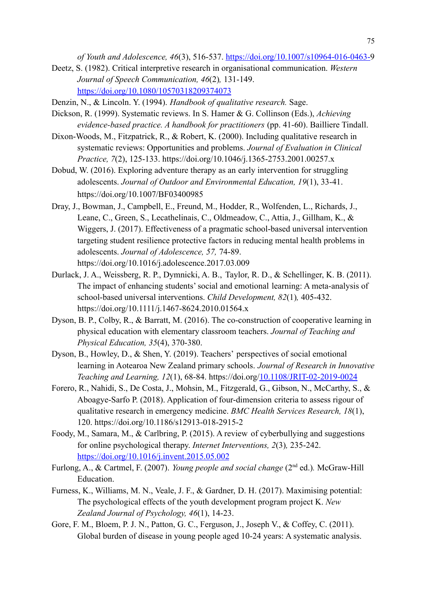*of Youth and Adolescence, 46*(3), 516-537. [https://doi.org/10.1007/s10964-016-0463-9](https://doi.org/10.1007/s10964-016-0463-)

- Deetz, S. (1982). Critical interpretive research in organisational communication. *Western Journal of Speech Communication, 46*(2)*,* 131-149. <https://doi.org/10.1080/10570318209374073>
- Denzin, N., & Lincoln. Y. (1994). *Handbook of qualitative research.* Sage.
- Dickson, R. (1999). Systematic reviews. In S. Hamer & G. Collinson (Eds.), *Achieving evidence-based practice. A handbook for practitioners* (pp. 41-60). Bailliere Tindall.
- Dixon-Woods, M., Fitzpatrick, R., & Robert, K. (2000). Including qualitative research in systematic reviews: Opportunities and problems. *Journal of Evaluation in Clinical Practice, 7*(2), 125-133. https://doi.org/10.1046/j.1365-2753.2001.00257.x
- Dobud, W. (2016). Exploring adventure therapy as an early intervention for struggling adolescents. *Journal of Outdoor and Environmental Education, 19*(1), 33-41. https://doi.org/10.1007/BF03400985
- Dray, J., Bowman, J., Campbell, E., Freund, M., Hodder, R., Wolfenden, L., Richards, J., Leane, C., Green, S., Lecathelinais, C., Oldmeadow, C., Attia, J., Gillham, K., & Wiggers, J. (2017). Effectiveness of a pragmatic school-based universal intervention targeting student resilience protective factors in reducing mental health problems in adolescents. *Journal of Adolescence, 57,* 74-89. https://doi.org/10.1016/j.adolescence.2017.03.009
- Durlack, J. A., Weissberg, R. P., Dymnicki, A. B., Taylor, R. D., & Schellinger, K. B. (2011). The impact of enhancing students' social and emotional learning: A meta-analysis of school-based universal interventions. *Child Development, 82*(1)*,* 405-432. https://doi.org/10.1111/j.1467-8624.2010.01564.x
- Dyson, B. P., Colby, R., & Barratt, M. (2016). The co-construction of cooperative learning in physical education with elementary classroom teachers. *Journal of Teaching and Physical Education, 35*(4), 370-380.
- Dyson, B., Howley, D., & Shen, Y. (2019). Teachers' perspectives of social emotional learning in Aotearoa New Zealand primary schools. *Journal of Research in Innovative Teaching and Learning, 12*(1), 68-84. https://doi.org[/10.1108/JRIT-02-2019-0024](https://www.researchgate.net/deref/http%3A%2F%2Fdx.doi.org%2F10.1108%2FJRIT-02-2019-0024?_sg%5B0%5D=nPuh3biXD207pW3V4BzJA2DSPnmnlOAyqp5QrMfzmX1HBNbdHLSrkUSz4fu_TDFxR6Vm3O_J0mEqKB6nChajnTkvww.6XQ1vxYz0MirDCVC05hwxtUiuN1OUVF4CUeHWpPbqB-1R30BldMLuWsBQBzBCol_J20YW5fVmH6Ad9jXY55b4g)
- Forero, R., Nahidi, S., De Costa, J., Mohsin, M., Fitzgerald, G., Gibson, N., McCarthy, S., & Aboagye-Sarfo P. (2018). Application of four-dimension criteria to assess rigour of qualitative research in emergency medicine. *BMC Health Services Research, 18*(1), 120. https://doi.org/10.1186/s12913-018-2915-2
- Foody, M., Samara, M., & Carlbring, P. (2015). A review of cyberbullying and suggestions for online psychological therapy. *Internet Interventions, 2*(3)*,* 235-242. <https://doi.org/10.1016/j.invent.2015.05.002>
- Furlong, A., & Cartmel, F. (2007). *Young people and social change* (2<sup>nd</sup> ed.). McGraw-Hill Education.
- Furness, K., Williams, M. N., Veale, J. F., & Gardner, D. H. (2017). Maximising potential: The psychological effects of the youth development program project K. *New Zealand Journal of Psychology, 46*(1), 14-23.
- Gore, F. M., Bloem, P. J. N., Patton, G. C., Ferguson, J., Joseph V., & Coffey, C. (2011). Global burden of disease in young people aged 10-24 years: A systematic analysis.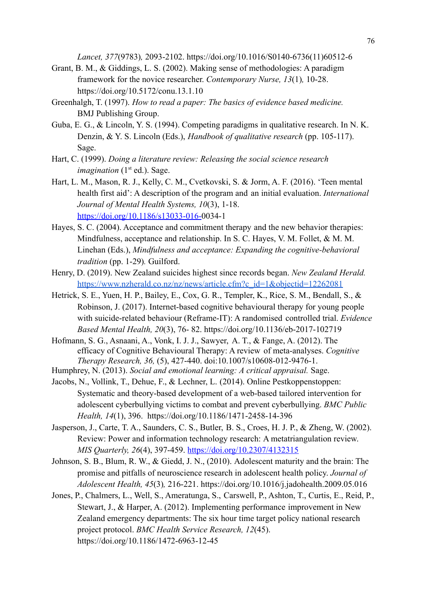*Lancet, 377*(9783)*,* 2093-2102. https://doi.org/10.1016/S0140-6736(11)60512-6

- Grant, B. M., & Giddings, L. S. (2002). Making sense of methodologies: A paradigm framework for the novice researcher. *Contemporary Nurse, 13*(1)*,* 10-28. https://doi.org/10.5172/conu.13.1.10
- Greenhalgh, T. (1997). *How to read a paper: The basics of evidence based medicine.* BMJ Publishing Group.
- Guba, E. G., & Lincoln, Y. S. (1994). Competing paradigms in qualitative research. In N. K. Denzin, & Y. S. Lincoln (Eds.), *Handbook of qualitative research* (pp. 105-117). Sage.
- Hart, C. (1999). *Doing a literature review: Releasing the social science research imagination*  $(1<sup>st</sup> ed.)$ . Sage.
- Hart, L. M., Mason, R. J., Kelly, C. M., Cvetkovski, S. & Jorm, A. F. (2016). 'Teen mental health first aid': A description of the program and an initial evaluation. *International Journal of Mental Health Systems, 10*(3), 1-18. <https://doi.org/10.1186/s13033-016->0034-1
- Hayes, S. C. (2004). Acceptance and commitment therapy and the new behavior therapies: Mindfulness, acceptance and relationship. In S. C. Hayes, V. M. Follet, & M. M. Linehan (Eds.), *Mindfulness and acceptance: Expanding the cognitive-behavioral tradition* (pp. 1-29)*.* Guilford.
- Henry, D. (2019). New Zealand suicides highest since records began. *New Zealand Herald.* [https://www.nzherald.co.nz/nz/news/article.cfm?c\\_id=1&objectid=12262081](https://www.nzherald.co.nz/nz/news/article.cfm?c_id=1&objectid=12262081)
- Hetrick, S. E., Yuen, H. P., Bailey, E., Cox, G. R., Templer, K., Rice, S. M., Bendall, S., & Robinson, J. (2017). Internet-based cognitive behavioural therapy for young people with suicide-related behaviour (Reframe-IT): A randomised controlled trial. *Evidence Based Mental Health, 20*(3), 76- 82. https://doi.org/10.1136/eb-2017-102719
- Hofmann, S. G., Asnaani, A., Vonk, I. J. J., Sawyer, A. T., & Fange, A. (2012). The efficacy of Cognitive Behavioural Therapy: A review of meta-analyses. *Cognitive Therapy Research, 36,* (5), 427-440. doi:10.1007/s10608-012-9476-1.
- Humphrey, N. (2013). *Social and emotional learning: A critical appraisal.* Sage.
- Jacobs, N., Vollink, T., Dehue, F., & Lechner, L. (2014). Online Pestkoppenstoppen: Systematic and theory-based development of a web-based tailored intervention for adolescent cyberbullying victims to combat and prevent cyberbullying. *BMC Public Health, 14*(1), 396. https://doi.org/10.1186/1471-2458-14-396
- Jasperson, J., Carte, T. A., Saunders, C. S., Butler, B. S., Croes, H. J. P., & Zheng, W. (2002). Review: Power and information technology research: A metatriangulation review. *MIS Quarterly, 26*(4), 397-459. <https://doi.org/10.2307/4132315>
- Johnson, S. B., Blum, R. W., & Giedd, J. N., (2010). Adolescent maturity and the brain: The promise and pitfalls of neuroscience research in adolescent health policy. *Journal of Adolescent Health, 45*(3)*,* 216-221. https://doi.org/10.1016/j.jadohealth.2009.05.016
- Jones, P., Chalmers, L., Well, S., Ameratunga, S., Carswell, P., Ashton, T., Curtis, E., Reid, P., Stewart, J., & Harper, A. (2012). Implementing performance improvement in New Zealand emergency departments: The six hour time target policy national research project protocol. *BMC Health Service Research, 12*(45). https://doi.org/10.1186/1472-6963-12-45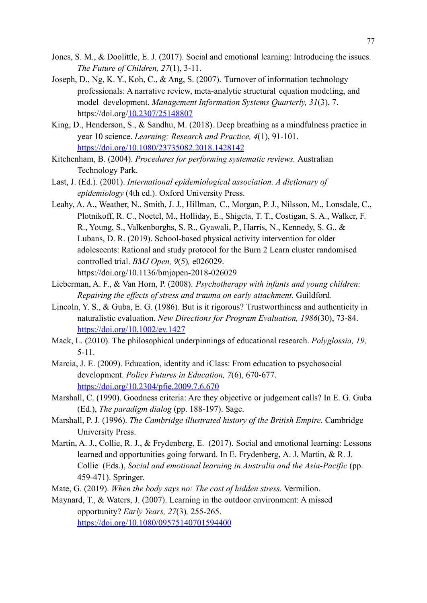- Jones, S. M., & Doolittle, E. J. (2017). Social and emotional learning: Introducing the issues. *The Future of Children, 27*(1), 3-11.
- Joseph, D., Ng, K. Y., Koh, C., & Ang, S. (2007). Turnover of information technology professionals: A narrative review, meta-analytic structural equation modeling, and model development. *Management Information Systems Quarterly, 31*(3), 7. https://doi.org/[10.2307/25148807](https://www.researchgate.net/deref/http%3A%2F%2Fdx.doi.org%2F10.2307%2F25148807?_sg%5B0%5D=s3cyu_oJxszioDDJbykQvAkyNRbmSG8u9SqFSB6_L1HZVsO0hekgBN1JMhaIzADrD3Qt2jKCGOGOLbk4EvAr9N8Wlg.akvJYjRB6vtQBScmW4YdEjysDbHKFwsqZFKYaLjDxtqyUth0j5A2FAGoG5z6GEW1BLZH0SqphaSH7q-hy9zQKA)
- King, D., Henderson, S., & Sandhu, M. (2018). Deep breathing as a mindfulness practice in year 10 science. *Learning: Research and Practice, 4*(1), 91-101. <https://doi.org/10.1080/23735082.2018.1428142>
- Kitchenham, B. (2004). *Procedures for performing systematic reviews.* Australian Technology Park.
- Last, J. (Ed.). (2001). *International epidemiological association. A dictionary of epidemiology* (4th ed.). Oxford University Press.
- Leahy, A. A., Weather, N., Smith, J. J., Hillman, C., Morgan, P. J., Nilsson, M., Lonsdale, C., Plotnikoff, R. C., Noetel, M., Holliday, E., Shigeta, T. T., Costigan, S. A., Walker, F. R., Young, S., Valkenborghs, S. R., Gyawali, P., Harris, N., Kennedy, S. G., & Lubans, D. R. (2019). School-based physical activity intervention for older adolescents: Rational and study protocol for the Burn 2 Learn cluster randomised controlled trial. *BMJ Open, 9*(5)*,* e026029. https://doi.org/10.1136/bmjopen-2018-026029
- Lieberman, A. F., & Van Horn, P. (2008). *Psychotherapy with infants and young children: Repairing the effects of stress and trauma on early attachment.* Guildford.
- Lincoln, Y. S., & Guba, E. G. (1986). But is it rigorous? Trustworthiness and authenticity in naturalistic evaluation. *New Directions for Program Evaluation, 1986*(30), 73-84. <https://doi.org/10.1002/ev.1427>
- Mack, L. (2010). The philosophical underpinnings of educational research. *Polyglossia, 19,* 5-11.
- Marcia, J. E. (2009). Education, identity and iClass: From education to psychosocial development. *Policy Futures in Education, 7*(6), 670-677. [https://doi.org/10.2304/pfie.2009.7.6.670](https://doi.org/10.2304%2Fpfie.2009.7.6.670)
- Marshall, C. (1990). Goodness criteria: Are they objective or judgement calls? In E. G. Guba (Ed.), *The paradigm dialog* (pp. 188-197). Sage.
- Marshall, P. J. (1996). *The Cambridge illustrated history of the British Empire.* Cambridge University Press.
- Martin, A. J., Collie, R. J., & Frydenberg, E. (2017). Social and emotional learning: Lessons learned and opportunities going forward. In E. Frydenberg, A. J. Martin, & R. J. Collie (Eds.), *Social and emotional learning in Australia and the Asia-Pacific* (pp. 459-471). Springer.
- Mate, G. (2019). *When the body says no: The cost of hidden stress.* Vermilion.
- Maynard, T., & Waters, J. (2007). Learning in the outdoor environment: A missed opportunity? *Early Years, 27*(3)*,* 255-265.

<https://doi.org/10.1080/09575140701594400>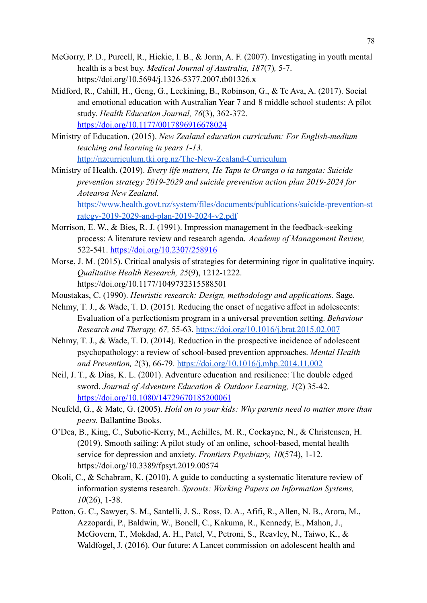- McGorry, P. D., Purcell, R., Hickie, I. B., & Jorm, A. F. (2007). Investigating in youth mental health is a best buy. *Medical Journal of Australia, 187*(7)*,* 5-7. https://doi.org/10.5694/j.1326-5377.2007.tb01326.x
- Midford, R., Cahill, H., Geng, G., Leckining, B., Robinson, G., & Te Ava, A. (2017). Social and emotional education with Australian Year 7 and 8 middle school students: A pilot study. *Health Education Journal, 76*(3), 362-372. [https://doi.org/10.1177/0017896916678024](https://doi.org/10.1177%2F0017896916678024)
- Ministry of Education. (2015). *New Zealand education curriculum: For English-medium teaching and learning in years 1-13*[.](http://nzcurriculum.tki.org.nz/The-New-Zealand-Curriculum) <http://nzcurriculum.tki.org.nz/The-New-Zealand-Curriculum>
- Ministry of Health. (2019). *Every life matters, He Tapu te Oranga o ia tangata: Suicide prevention strategy 2019-2029 and suicide prevention action plan 2019-2024 for Aotearoa New Zealand.* [https://www.health.govt.nz/system/files/documents/publications/suicide-prevention-st](https://www.health.govt.nz/system/files/documents/publications/suicide-prevention-strategy-2019-2029-and-plan-2019-2024-v2.pdf) [rategy-2019-2029-and-plan-2019-2024-v2.pdf](https://www.health.govt.nz/system/files/documents/publications/suicide-prevention-strategy-2019-2029-and-plan-2019-2024-v2.pdf)
- Morrison, E. W., & Bies, R. J. (1991). Impression management in the feedback-seeking process: A literature review and research agenda. *Academy of Management Review,* 522-541. <https://doi.org/10.2307/258916>
- Morse, J. M. (2015). Critical analysis of strategies for determining rigor in qualitative inquiry. *Qualitative Health Research, 25*(9), 1212-1222. https://doi.org/10.1177/1049732315588501
- Moustakas, C. (1990). *Heuristic research: Design, methodology and applications.* Sage.
- Nehmy, T. J., & Wade, T. D. (2015). Reducing the onset of negative affect in adolescents: Evaluation of a perfectionism program in a universal prevention setting. *Behaviour Research and Therapy, 67,* 55-63. <https://doi.org/10.1016/j.brat.2015.02.007>
- Nehmy, T. J., & Wade, T. D. (2014). Reduction in the prospective incidence of adolescent psychopathology: a review of school-based prevention approaches. *Mental Health and Prevention, 2*(3), 66-79. <https://doi.org/10.1016/j.mhp.2014.11.002>
- Neil, J. T., & Dias, K. L. (2001). Adventure education and resilience: The double edged sword. *Journal of Adventure Education & Outdoor Learning, 1*(2) 35-42. <https://doi.org/10.1080/14729670185200061>
- Neufeld, G., & Mate, G. (2005). *Hold on to your kids: Why parents need to matter more than peers.* Ballantine Books.
- O'Dea, B., King, C., Subotic-Kerry, M., Achilles, M. R., Cockayne, N., & Christensen, H. (2019). Smooth sailing: A pilot study of an online, school-based, mental health service for depression and anxiety. *Frontiers Psychiatry, 10*(574), 1-12. https://doi.org/10.3389/fpsyt.2019.00574
- Okoli, C., & Schabram, K. (2010). A guide to conducting a systematic literature review of information systems research. *Sprouts: Working Papers on Information Systems, 10*(26), 1-38.
- Patton, G. C., Sawyer, S. M., Santelli, J. S., Ross, D. A., Afifi, R., Allen, N. B., Arora, M., Azzopardi, P., Baldwin, W., Bonell, C., Kakuma, R., Kennedy, E., Mahon, J., McGovern, T., Mokdad, A. H., Patel, V., Petroni, S., Reavley, N., Taiwo, K., & Waldfogel, J. (2016). Our future: A Lancet commission on adolescent health and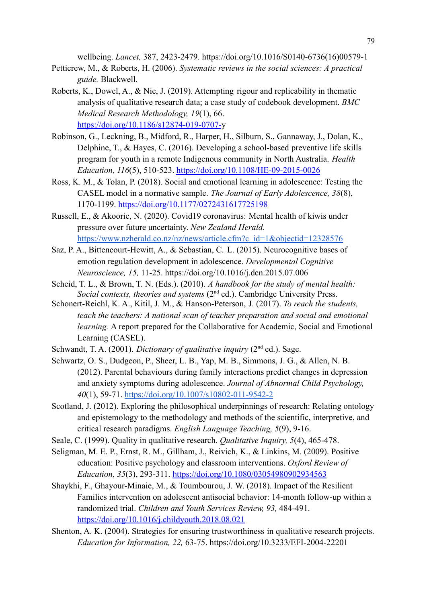wellbeing. *Lancet,* 387, 2423-2479. https://doi.org/10.1016/S0140-6736(16)00579-1

- Petticrew, M., & Roberts, H. (2006). *Systematic reviews in the social sciences: A practical guide.* Blackwell.
- Roberts, K., Dowel, A., & Nie, J. (2019). Attempting rigour and replicability in thematic analysis of qualitative research data; a case study of codebook development. *BMC Medical Research Methodology, 19*(1), 66. <https://doi.org/10.1186/s12874-019-0707->y
- Robinson, G., Leckning, B., Midford, R., Harper, H., Silburn, S., Gannaway, J., Dolan, K., Delphine, T., & Hayes, C. (2016). Developing a school-based preventive life skills program for youth in a remote Indigenous community in North Australia. *Health Education, 116*(5), 510-523. <https://doi.org/10.1108/HE-09-2015-0026>
- Ross, K. M., & Tolan, P. (2018). Social and emotional learning in adolescence: Testing the CASEL model in a normative sample. *The Journal of Early Adolescence, 38*(8), 1170-1199. [https://doi.org/10.1177/0272431617725198](https://doi.org/10.1177%2F0272431617725198)
- Russell, E., & Akoorie, N. (2020). Covid19 coronavirus: Mental health of kiwis under pressure over future uncertainty. *New Zealand Herald.* [https://www.nzherald.co.nz/nz/news/article.cfm?c\\_id=1&objectid=12328576](https://www.nzherald.co.nz/nz/news/article.cfm?c_id=1&objectid=12328576)
- Saz, P. A., Bittencourt-Hewitt, A., & Sebastian, C. L. (2015). Neurocognitive bases of emotion regulation development in adolescence. *Developmental Cognitive Neuroscience, 15,* 11-25. https://doi.org/10.1016/j.dcn.2015.07.006
- Scheid, T. L., & Brown, T. N. (Eds.). (2010). *A handbook for the study of mental health: Social contexts, theories and systems* (2<sup>nd</sup> ed.). Cambridge University Press.
- Schonert-Reichl, K. A., Kitil, J. M., & Hanson-Peterson, J. (2017). *To reach the students, teach the teachers: A national scan of teacher preparation and social and emotional learning.* A report prepared for the Collaborative for Academic, Social and Emotional Learning (CASEL).
- Schwandt, T. A. (2001). *Dictionary of qualitative inquiry* (2nd ed.). Sage.
- Schwartz, O. S., Dudgeon, P., Sheer, L. B., Yap, M. B., Simmons, J. G., & Allen, N. B. (2012). Parental behaviours during family interactions predict changes in depression and anxiety symptoms during adolescence. *Journal of Abnormal Child Psychology, 40*(1), 59-71. <https://doi.org/10.1007/s10802-011-9542-2>
- Scotland, J. (2012). Exploring the philosophical underpinnings of research: Relating ontology and epistemology to the methodology and methods of the scientific, interpretive, and critical research paradigms. *English Language Teaching, 5*(9), 9-16.
- Seale, C. (1999). Quality in qualitative research. *Qualitative Inquiry, 5*(4), 465-478.
- Seligman, M. E. P., Ernst, R. M., Gillham, J., Reivich, K., & Linkins, M. (2009). Positive education: Positive psychology and classroom interventions. *Oxford Review of Education, 35*(3), 293-311. h[ttps://doi.org/10.1080/03054980902934563](https://doi.org/10.1080/03054980902934563)
- Shaykhi, F., Ghayour-Minaie, M., & Toumbourou, J. W. (2018). Impact of the Resilient Families intervention on adolescent antisocial behavior: 14-month follow-up within a randomized trial. *Children and Youth Services Review, 93,* 484-491. <https://doi.org/10.1016/j.childyouth.2018.08.021>
- Shenton, A. K. (2004). Strategies for ensuring trustworthiness in qualitative research projects. *Education for Information, 22,* 63-75. https://doi.org/10.3233/EFI-2004-22201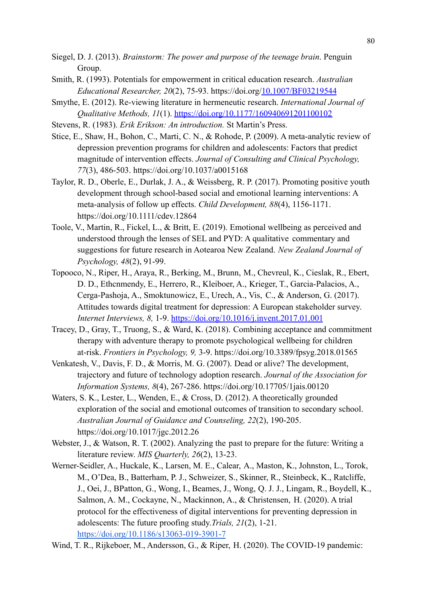- Siegel, D. J. (2013). *Brainstorm: The power and purpose of the teenage brain*. Penguin Group.
- Smith, R. (1993). Potentials for empowerment in critical education research. *Australian Educational Researcher, 20*(2), 75-93. https://doi.org[/10.1007/BF03219544](https://doi.org/10.1007/BF03219544)
- Smythe, E. (2012). Re-viewing literature in hermeneutic research. *International Journal of Qualitative Methods, 11*(1). [https://doi.org/10.1177/160940691201100102](https://doi.org/10.1177%2F160940691201100102)
- Stevens, R. (1983). *Erik Erikson: An introduction.* St Martin's Press.
- Stice, E., Shaw, H., Bohon, C., Marti, C. N., & Rohode, P. (2009). A meta-analytic review of depression prevention programs for children and adolescents: Factors that predict magnitude of intervention effects. *Journal of Consulting and Clinical Psychology, 77*(3), 486-503. https://doi.org/10.1037/a0015168
- Taylor, R. D., Oberle, E., Durlak, J. A., & Weissberg, R. P. (2017). Promoting positive youth development through school-based social and emotional learning interventions: A meta-analysis of follow up effects. *Child Development, 88*(4), 1156-1171. https://doi.org/10.1111/cdev.12864
- Toole, V., Martin, R., Fickel, L., & Britt, E. (2019). Emotional wellbeing as perceived and understood through the lenses of SEL and PYD: A qualitative commentary and suggestions for future research in Aotearoa New Zealand. *New Zealand Journal of Psychology, 48*(2), 91-99.
- Topooco, N., Riper, H., Araya, R., Berking, M., Brunn, M., Chevreul, K., Cieslak, R., Ebert, D. D., Ethcnmendy, E., Herrero, R., Kleiboer, A., Krieger, T., Garcia-Palacios, A., Cerga-Pashoja, A., Smoktunowicz, E., Urech, A., Vis, C., & Anderson, G. (2017). Attitudes towards digital treatment for depression: A European stakeholder survey. *Internet Interviews, 8,* 1-9. <https://doi.org/10.1016/j.invent.2017.01.001>
- Tracey, D., Gray, T., Truong, S., & Ward, K. (2018). Combining acceptance and commitment therapy with adventure therapy to promote psychological wellbeing for children at-risk. *Frontiers in Psychology, 9,* 3-9. https://doi.org/10.3389/fpsyg.2018.01565
- Venkatesh, V., Davis, F. D., & Morris, M. G. (2007). Dead or alive? The development, trajectory and future of technology adoption research. *Journal of the Association for Information Systems, 8*(4), 267-286. https://doi.org/10.17705/1jais.00120
- Waters, S. K., Lester, L., Wenden, E., & Cross, D. (2012). A theoretically grounded exploration of the social and emotional outcomes of transition to secondary school. *Australian Journal of Guidance and Counseling, 22*(2), 190-205. https://doi.org/10.1017/jgc.2012.26
- Webster, J., & Watson, R. T. (2002). Analyzing the past to prepare for the future: Writing a literature review. *MIS Quarterly, 26*(2), 13-23.
- Werner-Seidler, A., Huckale, K., Larsen, M. E., Calear, A., Maston, K., Johnston, L., Torok, M., O'Dea, B., Batterham, P. J., Schweizer, S., Skinner, R., Steinbeck, K., Ratcliffe, J., Oei, J., BPatton, G., Wong, I., Beames, J., Wong, Q. J. J., Lingam, R., Boydell, K., Salmon, A. M., Cockayne, N., Mackinnon, A., & Christensen, H. (2020). A trial protocol for the effectiveness of digital interventions for preventing depression in adolescents: The future proofing study.*Trials, 21*(2), 1-21. <https://doi.org/10.1186/s13063-019-3901-7>
- Wind, T. R., Rijkeboer, M., Andersson, G., & Riper, H. (2020). The COVID-19 pandemic: